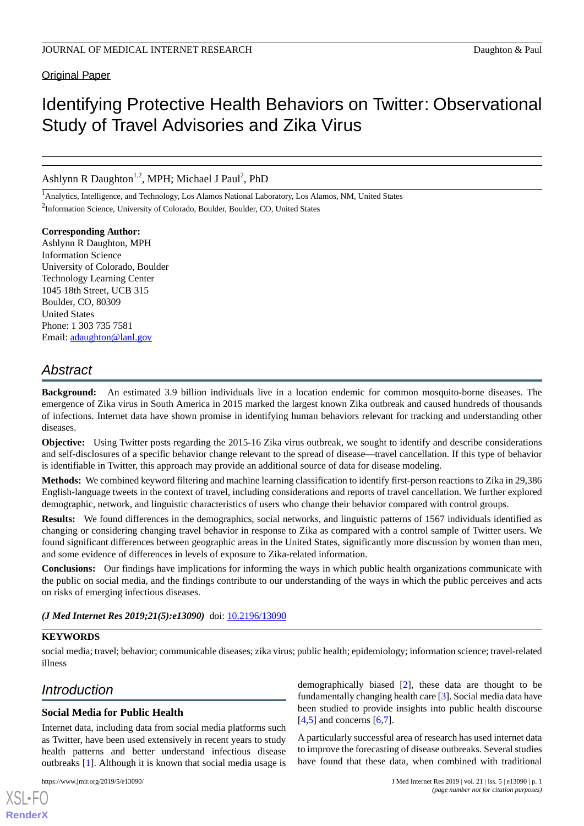**Original Paper** 

# Identifying Protective Health Behaviors on Twitter: Observational Study of Travel Advisories and Zika Virus

Ashlynn R Daughton<sup>1,2</sup>, MPH; Michael J Paul<sup>2</sup>, PhD

<sup>1</sup>Analytics, Intelligence, and Technology, Los Alamos National Laboratory, Los Alamos, NM, United States <sup>2</sup>Information Science, University of Colorado, Boulder, Boulder, CO, United States

**Corresponding Author:** Ashlynn R Daughton, MPH Information Science University of Colorado, Boulder Technology Learning Center 1045 18th Street, UCB 315 Boulder, CO, 80309 United States Phone: 1 303 735 7581 Email: [adaughton@lanl.gov](mailto:adaughton@lanl.gov)

## *Abstract*

**Background:** An estimated 3.9 billion individuals live in a location endemic for common mosquito-borne diseases. The emergence of Zika virus in South America in 2015 marked the largest known Zika outbreak and caused hundreds of thousands of infections. Internet data have shown promise in identifying human behaviors relevant for tracking and understanding other diseases.

**Objective:** Using Twitter posts regarding the 2015-16 Zika virus outbreak, we sought to identify and describe considerations and self-disclosures of a specific behavior change relevant to the spread of disease—travel cancellation. If this type of behavior is identifiable in Twitter, this approach may provide an additional source of data for disease modeling.

**Methods:** We combined keyword filtering and machine learning classification to identify first-person reactions to Zika in 29,386 English-language tweets in the context of travel, including considerations and reports of travel cancellation. We further explored demographic, network, and linguistic characteristics of users who change their behavior compared with control groups.

**Results:** We found differences in the demographics, social networks, and linguistic patterns of 1567 individuals identified as changing or considering changing travel behavior in response to Zika as compared with a control sample of Twitter users. We found significant differences between geographic areas in the United States, significantly more discussion by women than men, and some evidence of differences in levels of exposure to Zika-related information.

**Conclusions:** Our findings have implications for informing the ways in which public health organizations communicate with the public on social media, and the findings contribute to our understanding of the ways in which the public perceives and acts on risks of emerging infectious diseases.

(*J Med Internet Res 2019;21(5):e13090*) doi:  $10.2196/13090$ 

### **KEYWORDS**

social media; travel; behavior; communicable diseases; zika virus; public health; epidemiology; information science; travel-related illness

## *Introduction*

### **Social Media for Public Health**

Internet data, including data from social media platforms such as Twitter, have been used extensively in recent years to study health patterns and better understand infectious disease outbreaks [\[1](#page-12-0)]. Although it is known that social media usage is

[XSL](http://www.w3.org/Style/XSL)•FO **[RenderX](http://www.renderx.com/)**

demographically biased [[2\]](#page-12-1), these data are thought to be fundamentally changing health care [[3\]](#page-12-2). Social media data have been studied to provide insights into public health discourse  $[4,5]$  $[4,5]$  $[4,5]$  and concerns  $[6,7]$  $[6,7]$  $[6,7]$  $[6,7]$ .

A particularly successful area of research has used internet data to improve the forecasting of disease outbreaks. Several studies have found that these data, when combined with traditional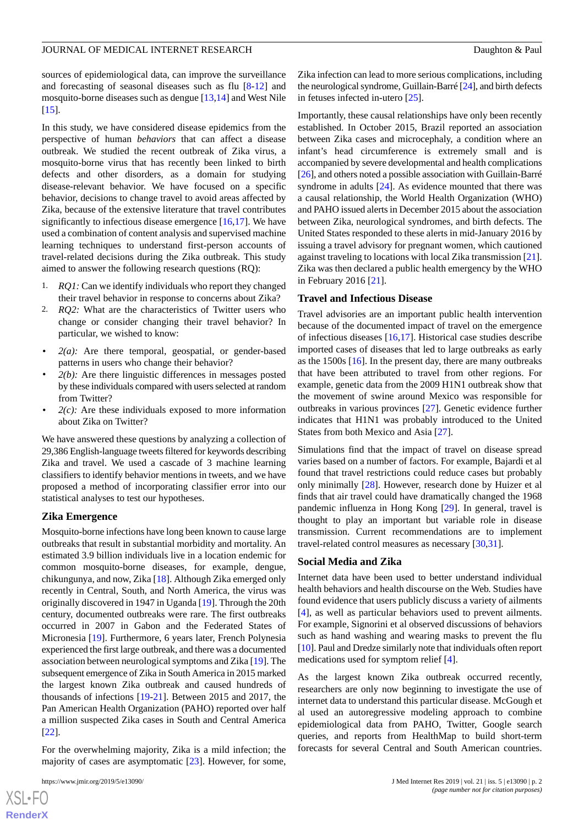sources of epidemiological data, can improve the surveillance and forecasting of seasonal diseases such as flu [\[8](#page-12-7)-[12\]](#page-13-0) and mosquito-borne diseases such as dengue [\[13](#page-13-1),[14\]](#page-13-2) and West Nile [[15\]](#page-13-3).

In this study, we have considered disease epidemics from the perspective of human *behaviors* that can affect a disease outbreak. We studied the recent outbreak of Zika virus, a mosquito-borne virus that has recently been linked to birth defects and other disorders, as a domain for studying disease-relevant behavior. We have focused on a specific behavior, decisions to change travel to avoid areas affected by Zika, because of the extensive literature that travel contributes significantly to infectious disease emergence  $[16,17]$  $[16,17]$  $[16,17]$  $[16,17]$ . We have used a combination of content analysis and supervised machine learning techniques to understand first-person accounts of travel-related decisions during the Zika outbreak. This study aimed to answer the following research questions (RQ):

- 1. *RQ1:* Can we identify individuals who report they changed their travel behavior in response to concerns about Zika?
- 2. *RQ2:* What are the characteristics of Twitter users who change or consider changing their travel behavior? In particular, we wished to know:
- $2(a)$ : Are there temporal, geospatial, or gender-based patterns in users who change their behavior?
- $2(b)$ : Are there linguistic differences in messages posted by these individuals compared with users selected at random from Twitter?
- $2(c)$ : Are these individuals exposed to more information about Zika on Twitter?

We have answered these questions by analyzing a collection of 29,386 English-language tweets filtered for keywords describing Zika and travel. We used a cascade of 3 machine learning classifiers to identify behavior mentions in tweets, and we have proposed a method of incorporating classifier error into our statistical analyses to test our hypotheses.

#### **Zika Emergence**

Mosquito-borne infections have long been known to cause large outbreaks that result in substantial morbidity and mortality. An estimated 3.9 billion individuals live in a location endemic for common mosquito-borne diseases, for example, dengue, chikungunya, and now, Zika [[18\]](#page-13-6). Although Zika emerged only recently in Central, South, and North America, the virus was originally discovered in 1947 in Uganda [[19\]](#page-13-7). Through the 20th century, documented outbreaks were rare. The first outbreaks occurred in 2007 in Gabon and the Federated States of Micronesia [[19\]](#page-13-7). Furthermore, 6 years later, French Polynesia experienced the first large outbreak, and there was a documented association between neurological symptoms and Zika [\[19](#page-13-7)]. The subsequent emergence of Zika in South America in 2015 marked the largest known Zika outbreak and caused hundreds of thousands of infections [[19](#page-13-7)[-21](#page-13-8)]. Between 2015 and 2017, the Pan American Health Organization (PAHO) reported over half a million suspected Zika cases in South and Central America [[22\]](#page-13-9).

For the overwhelming majority, Zika is a mild infection; the majority of cases are asymptomatic [\[23](#page-13-10)]. However, for some,

 $XS$ -FO **[RenderX](http://www.renderx.com/)**

Zika infection can lead to more serious complications, including the neurological syndrome, Guillain-Barré [\[24\]](#page-13-11), and birth defects in fetuses infected in-utero [\[25](#page-13-12)].

Importantly, these causal relationships have only been recently established. In October 2015, Brazil reported an association between Zika cases and microcephaly, a condition where an infant's head circumference is extremely small and is accompanied by severe developmental and health complications [[26\]](#page-13-13), and others noted a possible association with Guillain-Barré syndrome in adults [\[24](#page-13-11)]. As evidence mounted that there was a causal relationship, the World Health Organization (WHO) and PAHO issued alerts in December 2015 about the association between Zika, neurological syndromes, and birth defects. The United States responded to these alerts in mid-January 2016 by issuing a travel advisory for pregnant women, which cautioned against traveling to locations with local Zika transmission [[21\]](#page-13-8). Zika was then declared a public health emergency by the WHO in February 2016 [\[21](#page-13-8)].

#### **Travel and Infectious Disease**

Travel advisories are an important public health intervention because of the documented impact of travel on the emergence of infectious diseases [[16,](#page-13-4)[17](#page-13-5)]. Historical case studies describe imported cases of diseases that led to large outbreaks as early as the 1500s [[16\]](#page-13-4). In the present day, there are many outbreaks that have been attributed to travel from other regions. For example, genetic data from the 2009 H1N1 outbreak show that the movement of swine around Mexico was responsible for outbreaks in various provinces [[27\]](#page-13-14). Genetic evidence further indicates that H1N1 was probably introduced to the United States from both Mexico and Asia [\[27](#page-13-14)].

Simulations find that the impact of travel on disease spread varies based on a number of factors. For example, Bajardi et al found that travel restrictions could reduce cases but probably only minimally [\[28](#page-13-15)]. However, research done by Huizer et al finds that air travel could have dramatically changed the 1968 pandemic influenza in Hong Kong [\[29](#page-13-16)]. In general, travel is thought to play an important but variable role in disease transmission. Current recommendations are to implement travel-related control measures as necessary [\[30](#page-13-17),[31\]](#page-13-18).

#### **Social Media and Zika**

Internet data have been used to better understand individual health behaviors and health discourse on the Web. Studies have found evidence that users publicly discuss a variety of ailments [[4\]](#page-12-3), as well as particular behaviors used to prevent ailments. For example, Signorini et al observed discussions of behaviors such as hand washing and wearing masks to prevent the flu [[10\]](#page-12-8). Paul and Dredze similarly note that individuals often report medications used for symptom relief [\[4](#page-12-3)].

As the largest known Zika outbreak occurred recently, researchers are only now beginning to investigate the use of internet data to understand this particular disease. McGough et al used an autoregressive modeling approach to combine epidemiological data from PAHO, Twitter, Google search queries, and reports from HealthMap to build short-term forecasts for several Central and South American countries.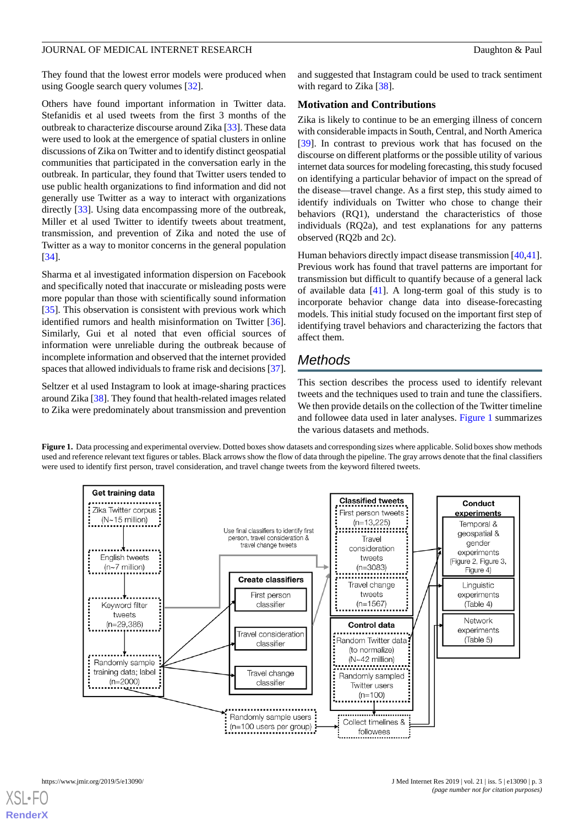They found that the lowest error models were produced when using Google search query volumes [[32\]](#page-13-19).

Others have found important information in Twitter data. Stefanidis et al used tweets from the first 3 months of the outbreak to characterize discourse around Zika [[33\]](#page-13-20). These data were used to look at the emergence of spatial clusters in online discussions of Zika on Twitter and to identify distinct geospatial communities that participated in the conversation early in the outbreak. In particular, they found that Twitter users tended to use public health organizations to find information and did not generally use Twitter as a way to interact with organizations directly [\[33](#page-13-20)]. Using data encompassing more of the outbreak, Miller et al used Twitter to identify tweets about treatment, transmission, and prevention of Zika and noted the use of Twitter as a way to monitor concerns in the general population [[34\]](#page-13-21).

Sharma et al investigated information dispersion on Facebook and specifically noted that inaccurate or misleading posts were more popular than those with scientifically sound information [[35\]](#page-14-0). This observation is consistent with previous work which identified rumors and health misinformation on Twitter [[36\]](#page-14-1). Similarly, Gui et al noted that even official sources of information were unreliable during the outbreak because of incomplete information and observed that the internet provided spaces that allowed individuals to frame risk and decisions [[37\]](#page-14-2).

<span id="page-2-0"></span>Seltzer et al used Instagram to look at image-sharing practices around Zika [[38\]](#page-14-3). They found that health-related images related to Zika were predominately about transmission and prevention and suggested that Instagram could be used to track sentiment with regard to Zika [\[38](#page-14-3)].

#### **Motivation and Contributions**

Zika is likely to continue to be an emerging illness of concern with considerable impacts in South, Central, and North America [[39\]](#page-14-4). In contrast to previous work that has focused on the discourse on different platforms or the possible utility of various internet data sources for modeling forecasting, this study focused on identifying a particular behavior of impact on the spread of the disease—travel change. As a first step, this study aimed to identify individuals on Twitter who chose to change their behaviors (RQ1), understand the characteristics of those individuals (RQ2a), and test explanations for any patterns observed (RQ2b and 2c).

Human behaviors directly impact disease transmission [\[40](#page-14-5),[41\]](#page-14-6). Previous work has found that travel patterns are important for transmission but difficult to quantify because of a general lack of available data [\[41](#page-14-6)]. A long-term goal of this study is to incorporate behavior change data into disease-forecasting models. This initial study focused on the important first step of identifying travel behaviors and characterizing the factors that affect them.

## *Methods*

This section describes the process used to identify relevant tweets and the techniques used to train and tune the classifiers. We then provide details on the collection of the Twitter timeline and followee data used in later analyses. [Figure 1](#page-2-0) summarizes the various datasets and methods.

**Figure 1.** Data processing and experimental overview. Dotted boxes show datasets and corresponding sizes where applicable. Solid boxes show methods used and reference relevant text figures or tables. Black arrows show the flow of data through the pipeline. The gray arrows denote that the final classifiers were used to identify first person, travel consideration, and travel change tweets from the keyword filtered tweets.

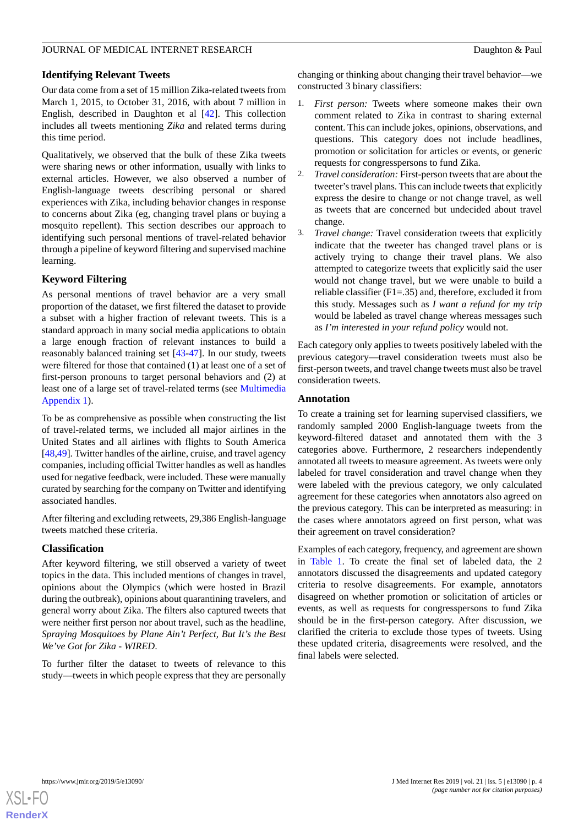#### **Identifying Relevant Tweets**

Our data come from a set of 15 million Zika-related tweets from March 1, 2015, to October 31, 2016, with about 7 million in English, described in Daughton et al [[42\]](#page-14-7). This collection includes all tweets mentioning *Zika* and related terms during this time period.

Qualitatively, we observed that the bulk of these Zika tweets were sharing news or other information, usually with links to external articles. However, we also observed a number of English-language tweets describing personal or shared experiences with Zika, including behavior changes in response to concerns about Zika (eg, changing travel plans or buying a mosquito repellent). This section describes our approach to identifying such personal mentions of travel-related behavior through a pipeline of keyword filtering and supervised machine learning.

#### **Keyword Filtering**

As personal mentions of travel behavior are a very small proportion of the dataset, we first filtered the dataset to provide a subset with a higher fraction of relevant tweets. This is a standard approach in many social media applications to obtain a large enough fraction of relevant instances to build a reasonably balanced training set [\[43](#page-14-8)-[47\]](#page-14-9). In our study, tweets were filtered for those that contained (1) at least one of a set of first-person pronouns to target personal behaviors and (2) at least one of a large set of travel-related terms (see [Multimedia](#page-12-9) [Appendix 1\)](#page-12-9).

To be as comprehensive as possible when constructing the list of travel-related terms, we included all major airlines in the United States and all airlines with flights to South America [[48](#page-14-10)[,49](#page-14-11)]. Twitter handles of the airline, cruise, and travel agency companies, including official Twitter handles as well as handles used for negative feedback, were included. These were manually curated by searching for the company on Twitter and identifying associated handles.

After filtering and excluding retweets, 29,386 English-language tweets matched these criteria.

### **Classification**

After keyword filtering, we still observed a variety of tweet topics in the data. This included mentions of changes in travel, opinions about the Olympics (which were hosted in Brazil during the outbreak), opinions about quarantining travelers, and general worry about Zika. The filters also captured tweets that were neither first person nor about travel, such as the headline, *Spraying Mosquitoes by Plane Ain't Perfect, But It's the Best We've Got for Zika - WIRED*.

To further filter the dataset to tweets of relevance to this study—tweets in which people express that they are personally changing or thinking about changing their travel behavior—we constructed 3 binary classifiers:

- 1. *First person:* Tweets where someone makes their own comment related to Zika in contrast to sharing external content. This can include jokes, opinions, observations, and questions. This category does not include headlines, promotion or solicitation for articles or events, or generic requests for congresspersons to fund Zika.
- 2. *Travel consideration:*First-person tweets that are about the tweeter's travel plans. This can include tweets that explicitly express the desire to change or not change travel, as well as tweets that are concerned but undecided about travel change.
- 3. *Travel change:* Travel consideration tweets that explicitly indicate that the tweeter has changed travel plans or is actively trying to change their travel plans. We also attempted to categorize tweets that explicitly said the user would not change travel, but we were unable to build a reliable classifier (F1=.35) and, therefore, excluded it from this study. Messages such as *I want a refund for my trip* would be labeled as travel change whereas messages such as *I'm interested in your refund policy* would not.

Each category only applies to tweets positively labeled with the previous category—travel consideration tweets must also be first-person tweets, and travel change tweets must also be travel consideration tweets.

#### **Annotation**

To create a training set for learning supervised classifiers, we randomly sampled 2000 English-language tweets from the keyword-filtered dataset and annotated them with the 3 categories above. Furthermore, 2 researchers independently annotated all tweets to measure agreement. As tweets were only labeled for travel consideration and travel change when they were labeled with the previous category, we only calculated agreement for these categories when annotators also agreed on the previous category. This can be interpreted as measuring: in the cases where annotators agreed on first person, what was their agreement on travel consideration?

Examples of each category, frequency, and agreement are shown in [Table 1.](#page-4-0) To create the final set of labeled data, the 2 annotators discussed the disagreements and updated category criteria to resolve disagreements. For example, annotators disagreed on whether promotion or solicitation of articles or events, as well as requests for congresspersons to fund Zika should be in the first-person category. After discussion, we clarified the criteria to exclude those types of tweets. Using these updated criteria, disagreements were resolved, and the final labels were selected.

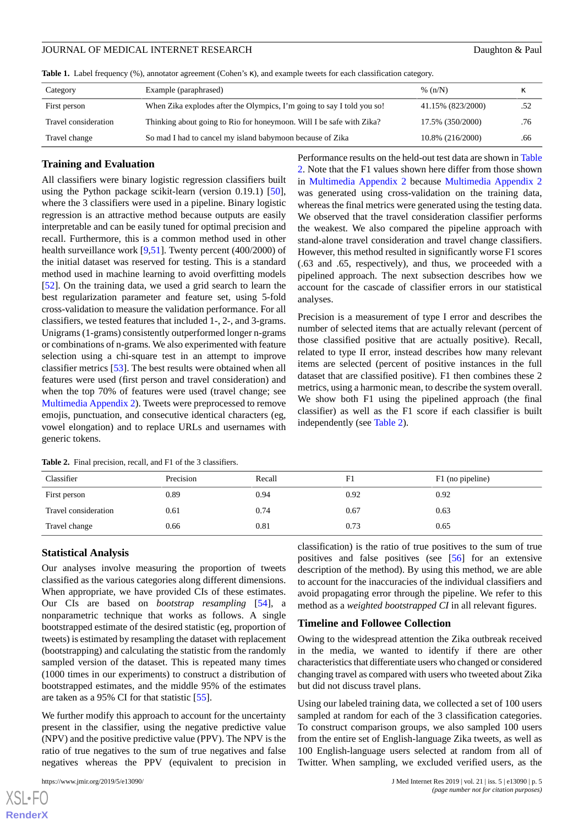<span id="page-4-0"></span>**Table 1.** Label frequency (%), annotator agreement (Cohen's κ), and example tweets for each classification category.

| Category             | Example (paraphrased)                                                  | % $(n/N)$         | κ   |
|----------------------|------------------------------------------------------------------------|-------------------|-----|
| First person         | When Zika explodes after the Olympics, I'm going to say I told you so! | 41.15% (823/2000) | .52 |
| Travel consideration | Thinking about going to Rio for honeymoon. Will I be safe with Zika?   | 17.5% (350/2000)  | .76 |
| Travel change        | So mad I had to cancel my island babymoon because of Zika              | 10.8% (216/2000)  | .66 |

#### **Training and Evaluation**

All classifiers were binary logistic regression classifiers built using the Python package scikit-learn (version 0.19.1) [[50\]](#page-14-12), where the 3 classifiers were used in a pipeline. Binary logistic regression is an attractive method because outputs are easily interpretable and can be easily tuned for optimal precision and recall. Furthermore, this is a common method used in other health surveillance work [\[9](#page-12-10),[51\]](#page-14-13). Twenty percent (400/2000) of the initial dataset was reserved for testing. This is a standard method used in machine learning to avoid overfitting models [[52\]](#page-14-14). On the training data, we used a grid search to learn the best regularization parameter and feature set, using 5-fold cross-validation to measure the validation performance. For all classifiers, we tested features that included 1-, 2-, and 3-grams. Unigrams (1-grams) consistently outperformed longer n-grams or combinations of n-grams. We also experimented with feature selection using a chi-square test in an attempt to improve classifier metrics [[53\]](#page-14-15). The best results were obtained when all features were used (first person and travel consideration) and when the top 70% of features were used (travel change; see [Multimedia Appendix 2\)](#page-12-11). Tweets were preprocessed to remove emojis, punctuation, and consecutive identical characters (eg, vowel elongation) and to replace URLs and usernames with generic tokens.

Performance results on the held-out test data are shown in [Table](#page-4-1) [2.](#page-4-1) Note that the F1 values shown here differ from those shown in [Multimedia Appendix 2](#page-12-11) because [Multimedia Appendix 2](#page-12-11) was generated using cross-validation on the training data, whereas the final metrics were generated using the testing data. We observed that the travel consideration classifier performs the weakest. We also compared the pipeline approach with stand-alone travel consideration and travel change classifiers. However, this method resulted in significantly worse F1 scores (.63 and .65, respectively), and thus, we proceeded with a pipelined approach. The next subsection describes how we account for the cascade of classifier errors in our statistical analyses.

Precision is a measurement of type I error and describes the number of selected items that are actually relevant (percent of those classified positive that are actually positive). Recall, related to type II error, instead describes how many relevant items are selected (percent of positive instances in the full dataset that are classified positive). F1 then combines these 2 metrics, using a harmonic mean, to describe the system overall. We show both F1 using the pipelined approach (the final classifier) as well as the F1 score if each classifier is built independently (see [Table 2\)](#page-4-1).

| Classifier           | Precision | Recall | F1   | F1 (no pipeline) |
|----------------------|-----------|--------|------|------------------|
| First person         | 0.89      | 0.94   | 0.92 | 0.92             |
| Travel consideration | 0.61      | 0.74   | 0.67 | 0.63             |
| Travel change        | 0.66      | 0.81   | 0.73 | 0.65             |

<span id="page-4-1"></span>**Table 2.** Final precision, recall, and F1 of the 3 classifiers.

#### **Statistical Analysis**

Our analyses involve measuring the proportion of tweets classified as the various categories along different dimensions. When appropriate, we have provided CIs of these estimates. Our CIs are based on *bootstrap resampling* [[54\]](#page-14-16), a nonparametric technique that works as follows. A single bootstrapped estimate of the desired statistic (eg, proportion of tweets) is estimated by resampling the dataset with replacement (bootstrapping) and calculating the statistic from the randomly sampled version of the dataset. This is repeated many times (1000 times in our experiments) to construct a distribution of bootstrapped estimates, and the middle 95% of the estimates are taken as a 95% CI for that statistic [\[55](#page-14-17)].

We further modify this approach to account for the uncertainty present in the classifier, using the negative predictive value (NPV) and the positive predictive value (PPV). The NPV is the ratio of true negatives to the sum of true negatives and false negatives whereas the PPV (equivalent to precision in

 $XS$ -FO **[RenderX](http://www.renderx.com/)** classification) is the ratio of true positives to the sum of true positives and false positives (see [[56\]](#page-14-18) for an extensive description of the method). By using this method, we are able to account for the inaccuracies of the individual classifiers and avoid propagating error through the pipeline. We refer to this method as a *weighted bootstrapped CI* in all relevant figures.

#### **Timeline and Followee Collection**

Owing to the widespread attention the Zika outbreak received in the media, we wanted to identify if there are other characteristics that differentiate users who changed or considered changing travel as compared with users who tweeted about Zika but did not discuss travel plans.

Using our labeled training data, we collected a set of 100 users sampled at random for each of the 3 classification categories. To construct comparison groups, we also sampled 100 users from the entire set of English-language Zika tweets, as well as 100 English-language users selected at random from all of Twitter. When sampling, we excluded verified users, as the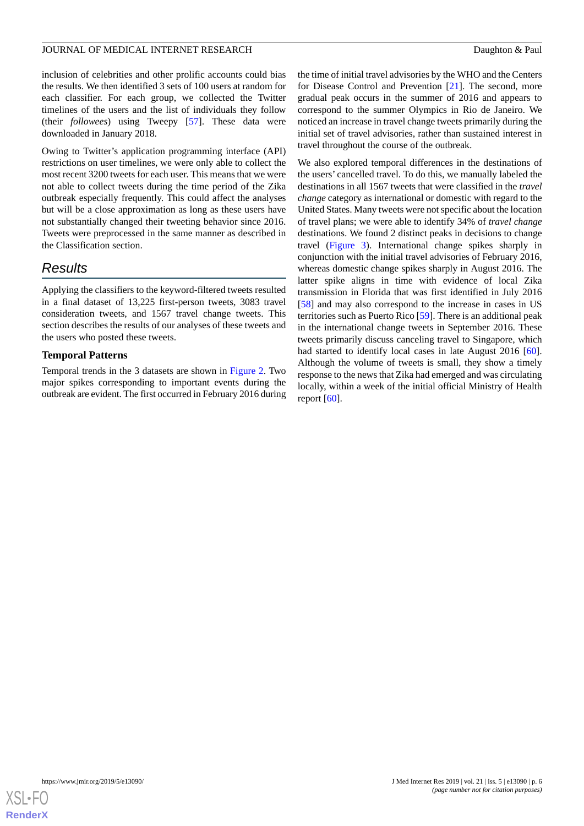inclusion of celebrities and other prolific accounts could bias the results. We then identified 3 sets of 100 users at random for each classifier. For each group, we collected the Twitter timelines of the users and the list of individuals they follow (their *followees*) using Tweepy [[57\]](#page-14-19). These data were downloaded in January 2018.

Owing to Twitter's application programming interface (API) restrictions on user timelines, we were only able to collect the most recent 3200 tweets for each user. This means that we were not able to collect tweets during the time period of the Zika outbreak especially frequently. This could affect the analyses but will be a close approximation as long as these users have not substantially changed their tweeting behavior since 2016. Tweets were preprocessed in the same manner as described in the Classification section.

## *Results*

Applying the classifiers to the keyword-filtered tweets resulted in a final dataset of 13,225 first-person tweets, 3083 travel consideration tweets, and 1567 travel change tweets. This section describes the results of our analyses of these tweets and the users who posted these tweets.

### **Temporal Patterns**

Temporal trends in the 3 datasets are shown in [Figure 2.](#page-6-0) Two major spikes corresponding to important events during the outbreak are evident. The first occurred in February 2016 during the time of initial travel advisories by the WHO and the Centers for Disease Control and Prevention [\[21](#page-13-8)]. The second, more gradual peak occurs in the summer of 2016 and appears to correspond to the summer Olympics in Rio de Janeiro. We noticed an increase in travel change tweets primarily during the initial set of travel advisories, rather than sustained interest in travel throughout the course of the outbreak.

We also explored temporal differences in the destinations of the users' cancelled travel. To do this, we manually labeled the destinations in all 1567 tweets that were classified in the *travel change* category as international or domestic with regard to the United States. Many tweets were not specific about the location of travel plans; we were able to identify 34% of *travel change* destinations. We found 2 distinct peaks in decisions to change travel ([Figure 3](#page-6-1)). International change spikes sharply in conjunction with the initial travel advisories of February 2016, whereas domestic change spikes sharply in August 2016. The latter spike aligns in time with evidence of local Zika transmission in Florida that was first identified in July 2016 [[58\]](#page-14-20) and may also correspond to the increase in cases in US territories such as Puerto Rico [\[59](#page-14-21)]. There is an additional peak in the international change tweets in September 2016. These tweets primarily discuss canceling travel to Singapore, which had started to identify local cases in late August 2016 [[60\]](#page-15-0). Although the volume of tweets is small, they show a timely response to the news that Zika had emerged and was circulating locally, within a week of the initial official Ministry of Health report  $[60]$  $[60]$ .

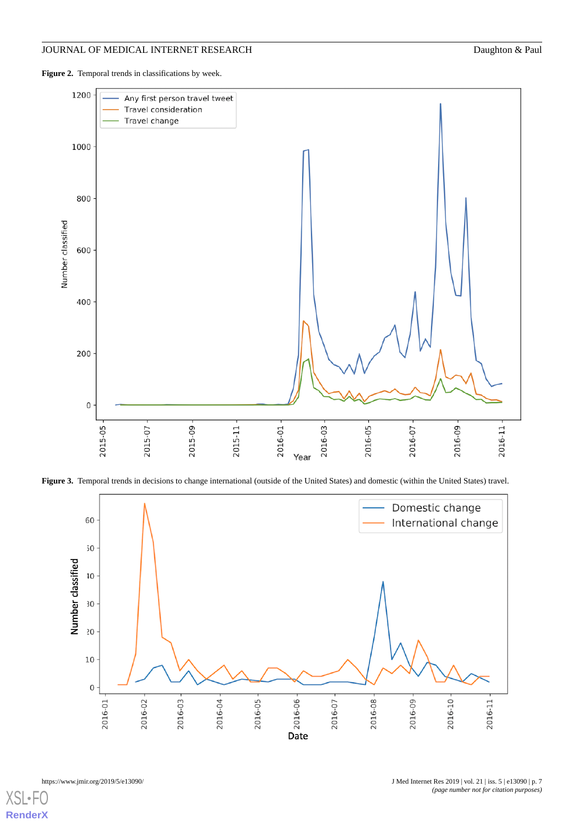<span id="page-6-0"></span>Figure 2. Temporal trends in classifications by week.



<span id="page-6-1"></span>**Figure 3.** Temporal trends in decisions to change international (outside of the United States) and domestic (within the United States) travel.

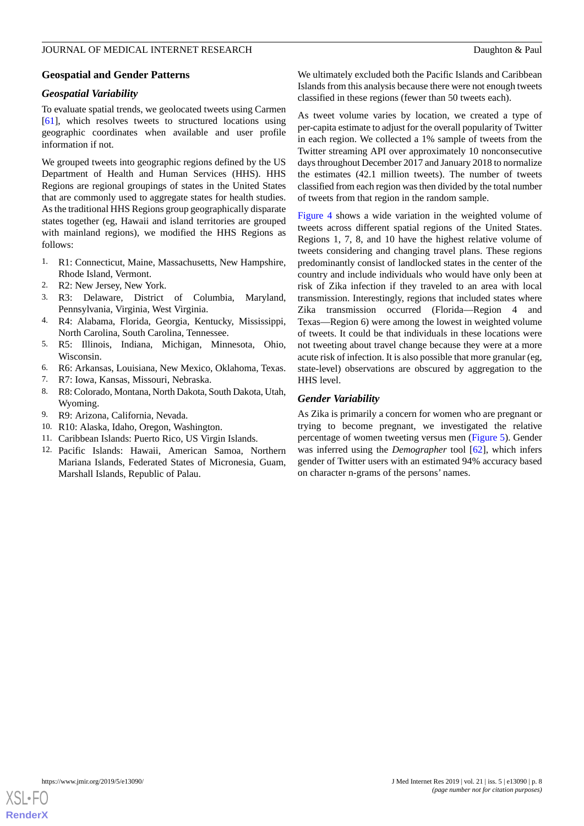#### **Geospatial and Gender Patterns**

#### *Geospatial Variability*

To evaluate spatial trends, we geolocated tweets using Carmen [[61\]](#page-15-1), which resolves tweets to structured locations using geographic coordinates when available and user profile information if not.

We grouped tweets into geographic regions defined by the US Department of Health and Human Services (HHS). HHS Regions are regional groupings of states in the United States that are commonly used to aggregate states for health studies. As the traditional HHS Regions group geographically disparate states together (eg, Hawaii and island territories are grouped with mainland regions), we modified the HHS Regions as follows:

- 1. R1: Connecticut, Maine, Massachusetts, New Hampshire, Rhode Island, Vermont.
- 2. R2: New Jersey, New York.
- 3. R3: Delaware, District of Columbia, Maryland, Pennsylvania, Virginia, West Virginia.
- 4. R4: Alabama, Florida, Georgia, Kentucky, Mississippi, North Carolina, South Carolina, Tennessee.
- 5. R5: Illinois, Indiana, Michigan, Minnesota, Ohio, Wisconsin.
- 6. R6: Arkansas, Louisiana, New Mexico, Oklahoma, Texas.
- 7. R7: Iowa, Kansas, Missouri, Nebraska.
- 8. R8: Colorado, Montana, North Dakota, South Dakota, Utah, Wyoming.
- 9. R9: Arizona, California, Nevada.
- 10. R10: Alaska, Idaho, Oregon, Washington.
- 11. Caribbean Islands: Puerto Rico, US Virgin Islands.
- 12. Pacific Islands: Hawaii, American Samoa, Northern Mariana Islands, Federated States of Micronesia, Guam, Marshall Islands, Republic of Palau.

We ultimately excluded both the Pacific Islands and Caribbean Islands from this analysis because there were not enough tweets classified in these regions (fewer than 50 tweets each).

As tweet volume varies by location, we created a type of per-capita estimate to adjust for the overall popularity of Twitter in each region. We collected a 1% sample of tweets from the Twitter streaming API over approximately 10 nonconsecutive days throughout December 2017 and January 2018 to normalize the estimates (42.1 million tweets). The number of tweets classified from each region was then divided by the total number of tweets from that region in the random sample.

[Figure 4](#page-8-0) shows a wide variation in the weighted volume of tweets across different spatial regions of the United States. Regions 1, 7, 8, and 10 have the highest relative volume of tweets considering and changing travel plans. These regions predominantly consist of landlocked states in the center of the country and include individuals who would have only been at risk of Zika infection if they traveled to an area with local transmission. Interestingly, regions that included states where Zika transmission occurred (Florida—Region 4 and Texas—Region 6) were among the lowest in weighted volume of tweets. It could be that individuals in these locations were not tweeting about travel change because they were at a more acute risk of infection. It is also possible that more granular (eg, state-level) observations are obscured by aggregation to the HHS level.

#### *Gender Variability*

As Zika is primarily a concern for women who are pregnant or trying to become pregnant, we investigated the relative percentage of women tweeting versus men [\(Figure 5\)](#page-8-1). Gender was inferred using the *Demographer* tool [\[62](#page-15-2)], which infers gender of Twitter users with an estimated 94% accuracy based on character n-grams of the persons' names.

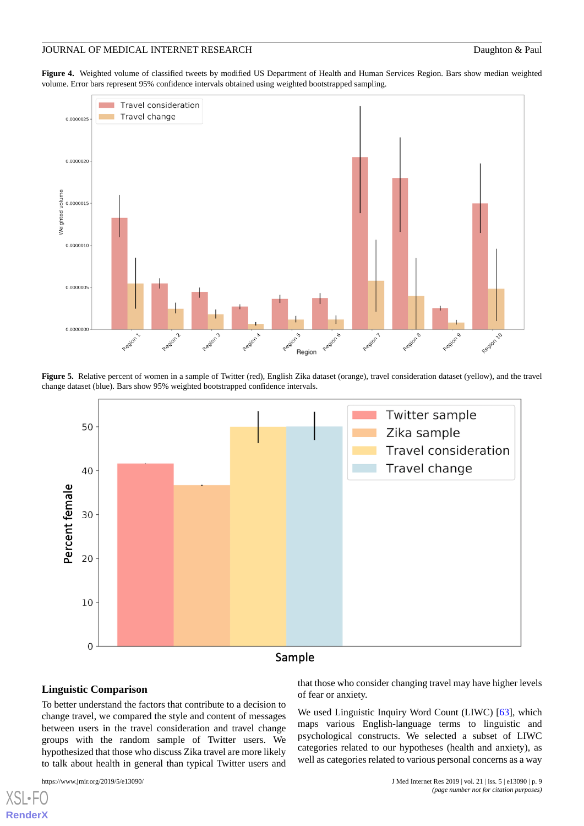<span id="page-8-0"></span>**Figure 4.** Weighted volume of classified tweets by modified US Department of Health and Human Services Region. Bars show median weighted volume. Error bars represent 95% confidence intervals obtained using weighted bootstrapped sampling.



<span id="page-8-1"></span>**Figure 5.** Relative percent of women in a sample of Twitter (red), English Zika dataset (orange), travel consideration dataset (yellow), and the travel change dataset (blue). Bars show 95% weighted bootstrapped confidence intervals.



#### **Linguistic Comparison**

To better understand the factors that contribute to a decision to change travel, we compared the style and content of messages between users in the travel consideration and travel change groups with the random sample of Twitter users. We hypothesized that those who discuss Zika travel are more likely to talk about health in general than typical Twitter users and

[XSL](http://www.w3.org/Style/XSL)•FO **[RenderX](http://www.renderx.com/)**

that those who consider changing travel may have higher levels of fear or anxiety.

We used Linguistic Inquiry Word Count (LIWC) [\[63](#page-15-3)], which maps various English-language terms to linguistic and psychological constructs. We selected a subset of LIWC categories related to our hypotheses (health and anxiety), as well as categories related to various personal concerns as a way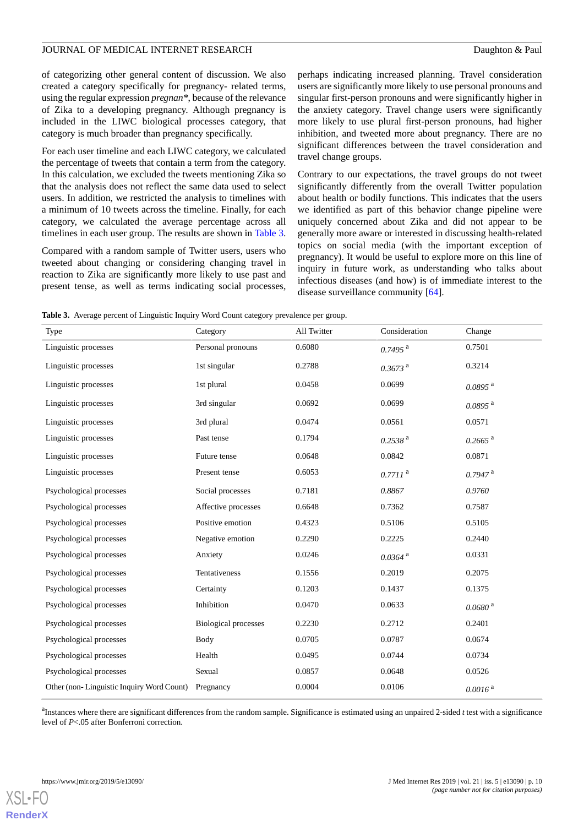of categorizing other general content of discussion. We also created a category specifically for pregnancy- related terms, using the regular expression *pregnan\**, because of the relevance of Zika to a developing pregnancy. Although pregnancy is included in the LIWC biological processes category, that category is much broader than pregnancy specifically.

For each user timeline and each LIWC category, we calculated the percentage of tweets that contain a term from the category. In this calculation, we excluded the tweets mentioning Zika so that the analysis does not reflect the same data used to select users. In addition, we restricted the analysis to timelines with a minimum of 10 tweets across the timeline. Finally, for each category, we calculated the average percentage across all timelines in each user group. The results are shown in [Table 3](#page-9-0).

Compared with a random sample of Twitter users, users who tweeted about changing or considering changing travel in reaction to Zika are significantly more likely to use past and present tense, as well as terms indicating social processes,

perhaps indicating increased planning. Travel consideration users are significantly more likely to use personal pronouns and singular first-person pronouns and were significantly higher in the anxiety category. Travel change users were significantly more likely to use plural first-person pronouns, had higher inhibition, and tweeted more about pregnancy. There are no significant differences between the travel consideration and travel change groups.

Contrary to our expectations, the travel groups do not tweet significantly differently from the overall Twitter population about health or bodily functions. This indicates that the users we identified as part of this behavior change pipeline were uniquely concerned about Zika and did not appear to be generally more aware or interested in discussing health-related topics on social media (with the important exception of pregnancy). It would be useful to explore more on this line of inquiry in future work, as understanding who talks about infectious diseases (and how) is of immediate interest to the disease surveillance community [\[64](#page-15-4)].

<span id="page-9-0"></span>**Table 3.** Average percent of Linguistic Inquiry Word Count category prevalence per group.

| Type                                      | Category                    | All Twitter | Consideration         | Change                |
|-------------------------------------------|-----------------------------|-------------|-----------------------|-----------------------|
| Linguistic processes                      | Personal pronouns           | 0.6080      | $0.7495$ <sup>a</sup> | 0.7501                |
| Linguistic processes                      | 1st singular                | 0.2788      | $0.3673$ <sup>a</sup> | 0.3214                |
| Linguistic processes                      | 1st plural                  | 0.0458      | 0.0699                | $0.0895$ <sup>a</sup> |
| Linguistic processes                      | 3rd singular                | 0.0692      | 0.0699                | $0.0895$ <sup>a</sup> |
| Linguistic processes                      | 3rd plural                  | 0.0474      | 0.0561                | 0.0571                |
| Linguistic processes                      | Past tense                  | 0.1794      | $0.2538$ <sup>a</sup> | $0.2665$ <sup>a</sup> |
| Linguistic processes                      | Future tense                | 0.0648      | 0.0842                | 0.0871                |
| Linguistic processes                      | Present tense               | 0.6053      | $0.7711$ <sup>a</sup> | $0.7947$ <sup>a</sup> |
| Psychological processes                   | Social processes            | 0.7181      | 0.8867                | 0.9760                |
| Psychological processes                   | Affective processes         | 0.6648      | 0.7362                | 0.7587                |
| Psychological processes                   | Positive emotion            | 0.4323      | 0.5106                | 0.5105                |
| Psychological processes                   | Negative emotion            | 0.2290      | 0.2225                | 0.2440                |
| Psychological processes                   | Anxiety                     | 0.0246      | $0.0364$ <sup>a</sup> | 0.0331                |
| Psychological processes                   | Tentativeness               | 0.1556      | 0.2019                | 0.2075                |
| Psychological processes                   | Certainty                   | 0.1203      | 0.1437                | 0.1375                |
| Psychological processes                   | Inhibition                  | 0.0470      | 0.0633                | $0.0680$ <sup>a</sup> |
| Psychological processes                   | <b>Biological processes</b> | 0.2230      | 0.2712                | 0.2401                |
| Psychological processes                   | Body                        | 0.0705      | 0.0787                | 0.0674                |
| Psychological processes                   | Health                      | 0.0495      | 0.0744                | 0.0734                |
| Psychological processes                   | Sexual                      | 0.0857      | 0.0648                | 0.0526                |
| Other (non-Linguistic Inquiry Word Count) | Pregnancy                   | 0.0004      | 0.0106                | 0.0016 <sup>a</sup>   |

<sup>a</sup>Instances where there are significant differences from the random sample. Significance is estimated using an unpaired 2-sided *t* test with a significance level of *P*<.05 after Bonferroni correction.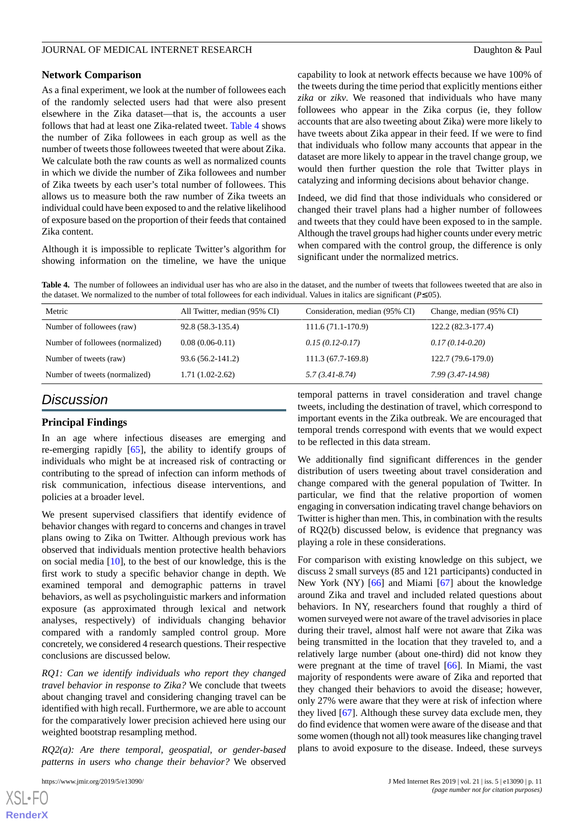#### **Network Comparison**

As a final experiment, we look at the number of followees each of the randomly selected users had that were also present elsewhere in the Zika dataset—that is, the accounts a user follows that had at least one Zika-related tweet. [Table 4](#page-10-0) shows the number of Zika followees in each group as well as the number of tweets those followees tweeted that were about Zika. We calculate both the raw counts as well as normalized counts in which we divide the number of Zika followees and number of Zika tweets by each user's total number of followees. This allows us to measure both the raw number of Zika tweets an individual could have been exposed to and the relative likelihood of exposure based on the proportion of their feeds that contained Zika content.

<span id="page-10-0"></span>Although it is impossible to replicate Twitter's algorithm for showing information on the timeline, we have the unique

capability to look at network effects because we have 100% of the tweets during the time period that explicitly mentions either *zika* or *zikv*. We reasoned that individuals who have many followees who appear in the Zika corpus (ie, they follow accounts that are also tweeting about Zika) were more likely to have tweets about Zika appear in their feed. If we were to find that individuals who follow many accounts that appear in the dataset are more likely to appear in the travel change group, we would then further question the role that Twitter plays in catalyzing and informing decisions about behavior change.

Indeed, we did find that those individuals who considered or changed their travel plans had a higher number of followees and tweets that they could have been exposed to in the sample. Although the travel groups had higher counts under every metric when compared with the control group, the difference is only significant under the normalized metrics.

**Table 4.** The number of followees an individual user has who are also in the dataset, and the number of tweets that followees tweeted that are also in the dataset. We normalized to the number of total followees for each individual. Values in italics are significant (*P*≤.05).

| Metric                           | All Twitter, median (95% CI) | Consideration, median (95% CI) | Change, median (95% CI) |
|----------------------------------|------------------------------|--------------------------------|-------------------------|
| Number of followees (raw)        | 92.8 (58.3-135.4)            | $111.6(71.1-170.9)$            | 122.2 (82.3-177.4)      |
| Number of followees (normalized) | $0.08(0.06-0.11)$            | $0.15(0.12-0.17)$              | $0.17(0.14-0.20)$       |
| Number of tweets (raw)           | 93.6 (56.2-141.2)            | $111.3(67.7-169.8)$            | 122.7 (79.6-179.0)      |
| Number of tweets (normalized)    | $1.71(1.02-2.62)$            | $5.7(3.41 - 8.74)$             | $7.99(3.47-14.98)$      |

## *Discussion*

#### **Principal Findings**

In an age where infectious diseases are emerging and re-emerging rapidly [\[65](#page-15-5)], the ability to identify groups of individuals who might be at increased risk of contracting or contributing to the spread of infection can inform methods of risk communication, infectious disease interventions, and policies at a broader level.

We present supervised classifiers that identify evidence of behavior changes with regard to concerns and changes in travel plans owing to Zika on Twitter. Although previous work has observed that individuals mention protective health behaviors on social media [\[10](#page-12-8)], to the best of our knowledge, this is the first work to study a specific behavior change in depth. We examined temporal and demographic patterns in travel behaviors, as well as psycholinguistic markers and information exposure (as approximated through lexical and network analyses, respectively) of individuals changing behavior compared with a randomly sampled control group. More concretely, we considered 4 research questions. Their respective conclusions are discussed below.

*RQ1: Can we identify individuals who report they changed travel behavior in response to Zika?* We conclude that tweets about changing travel and considering changing travel can be identified with high recall. Furthermore, we are able to account for the comparatively lower precision achieved here using our weighted bootstrap resampling method.

*RQ2(a): Are there temporal, geospatial, or gender-based patterns in users who change their behavior?* We observed

temporal patterns in travel consideration and travel change tweets, including the destination of travel, which correspond to important events in the Zika outbreak. We are encouraged that temporal trends correspond with events that we would expect to be reflected in this data stream.

We additionally find significant differences in the gender distribution of users tweeting about travel consideration and change compared with the general population of Twitter. In particular, we find that the relative proportion of women engaging in conversation indicating travel change behaviors on Twitter is higher than men. This, in combination with the results of RQ2(b) discussed below, is evidence that pregnancy was playing a role in these considerations.

For comparison with existing knowledge on this subject, we discuss 2 small surveys (85 and 121 participants) conducted in New York (NY) [[66\]](#page-15-6) and Miami [[67\]](#page-15-7) about the knowledge around Zika and travel and included related questions about behaviors. In NY, researchers found that roughly a third of women surveyed were not aware of the travel advisories in place during their travel, almost half were not aware that Zika was being transmitted in the location that they traveled to, and a relatively large number (about one-third) did not know they were pregnant at the time of travel [\[66](#page-15-6)]. In Miami, the vast majority of respondents were aware of Zika and reported that they changed their behaviors to avoid the disease; however, only 27% were aware that they were at risk of infection where they lived [\[67](#page-15-7)]. Although these survey data exclude men, they do find evidence that women were aware of the disease and that some women (though not all) took measures like changing travel plans to avoid exposure to the disease. Indeed, these surveys

```
XS\cdotFC
RenderX
```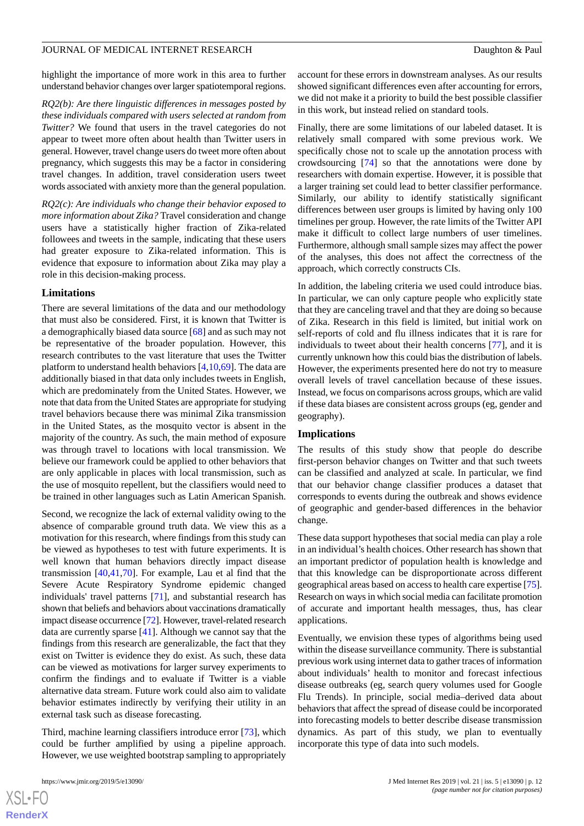highlight the importance of more work in this area to further understand behavior changes over larger spatiotemporal regions.

*RQ2(b): Are there linguistic differences in messages posted by these individuals compared with users selected at random from Twitter?* We found that users in the travel categories do not appear to tweet more often about health than Twitter users in general. However, travel change users do tweet more often about pregnancy, which suggests this may be a factor in considering travel changes. In addition, travel consideration users tweet words associated with anxiety more than the general population.

*RQ2(c): Are individuals who change their behavior exposed to more information about Zika?* Travel consideration and change users have a statistically higher fraction of Zika-related followees and tweets in the sample, indicating that these users had greater exposure to Zika-related information. This is evidence that exposure to information about Zika may play a role in this decision-making process.

#### **Limitations**

There are several limitations of the data and our methodology that must also be considered. First, it is known that Twitter is a demographically biased data source [\[68](#page-15-8)] and as such may not be representative of the broader population. However, this research contributes to the vast literature that uses the Twitter platform to understand health behaviors [\[4](#page-12-3),[10](#page-12-8)[,69](#page-15-9)]. The data are additionally biased in that data only includes tweets in English, which are predominately from the United States. However, we note that data from the United States are appropriate for studying travel behaviors because there was minimal Zika transmission in the United States, as the mosquito vector is absent in the majority of the country. As such, the main method of exposure was through travel to locations with local transmission. We believe our framework could be applied to other behaviors that are only applicable in places with local transmission, such as the use of mosquito repellent, but the classifiers would need to be trained in other languages such as Latin American Spanish.

Second, we recognize the lack of external validity owing to the absence of comparable ground truth data. We view this as a motivation for this research, where findings from this study can be viewed as hypotheses to test with future experiments. It is well known that human behaviors directly impact disease transmission [[40](#page-14-5)[,41](#page-14-6),[70\]](#page-15-10). For example, Lau et al find that the Severe Acute Respiratory Syndrome epidemic changed individuals' travel patterns [\[71](#page-15-11)], and substantial research has shown that beliefs and behaviors about vaccinations dramatically impact disease occurrence [\[72\]](#page-15-12). However, travel-related research data are currently sparse [\[41](#page-14-6)]. Although we cannot say that the findings from this research are generalizable, the fact that they exist on Twitter is evidence they do exist. As such, these data can be viewed as motivations for larger survey experiments to confirm the findings and to evaluate if Twitter is a viable alternative data stream. Future work could also aim to validate behavior estimates indirectly by verifying their utility in an external task such as disease forecasting.

Third, machine learning classifiers introduce error [[73\]](#page-15-13), which could be further amplified by using a pipeline approach. However, we use weighted bootstrap sampling to appropriately

account for these errors in downstream analyses. As our results showed significant differences even after accounting for errors, we did not make it a priority to build the best possible classifier in this work, but instead relied on standard tools.

Finally, there are some limitations of our labeled dataset. It is relatively small compared with some previous work. We specifically chose not to scale up the annotation process with crowdsourcing [\[74](#page-15-14)] so that the annotations were done by researchers with domain expertise. However, it is possible that a larger training set could lead to better classifier performance. Similarly, our ability to identify statistically significant differences between user groups is limited by having only 100 timelines per group. However, the rate limits of the Twitter API make it difficult to collect large numbers of user timelines. Furthermore, although small sample sizes may affect the power of the analyses, this does not affect the correctness of the approach, which correctly constructs CIs.

In addition, the labeling criteria we used could introduce bias. In particular, we can only capture people who explicitly state that they are canceling travel and that they are doing so because of Zika. Research in this field is limited, but initial work on self-reports of cold and flu illness indicates that it is rare for individuals to tweet about their health concerns [[77\]](#page-15-15), and it is currently unknown how this could bias the distribution of labels. However, the experiments presented here do not try to measure overall levels of travel cancellation because of these issues. Instead, we focus on comparisons across groups, which are valid if these data biases are consistent across groups (eg, gender and geography).

#### **Implications**

The results of this study show that people do describe first-person behavior changes on Twitter and that such tweets can be classified and analyzed at scale. In particular, we find that our behavior change classifier produces a dataset that corresponds to events during the outbreak and shows evidence of geographic and gender-based differences in the behavior change.

These data support hypotheses that social media can play a role in an individual's health choices. Other research has shown that an important predictor of population health is knowledge and that this knowledge can be disproportionate across different geographical areas based on access to health care expertise [\[75](#page-15-16)]. Research on ways in which social media can facilitate promotion of accurate and important health messages, thus, has clear applications.

Eventually, we envision these types of algorithms being used within the disease surveillance community. There is substantial previous work using internet data to gather traces of information about individuals' health to monitor and forecast infectious disease outbreaks (eg, search query volumes used for Google Flu Trends). In principle, social media–derived data about behaviors that affect the spread of disease could be incorporated into forecasting models to better describe disease transmission dynamics. As part of this study, we plan to eventually incorporate this type of data into such models.

```
XS\cdotFC
RenderX
```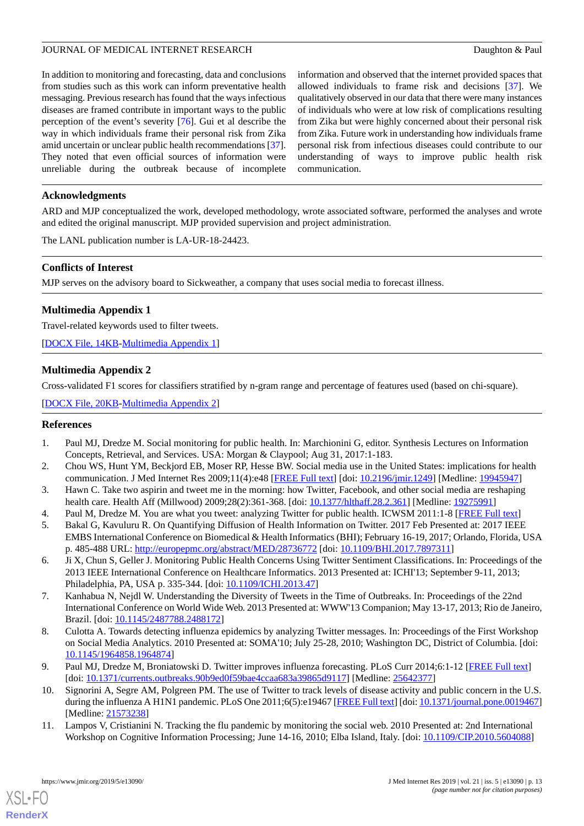In addition to monitoring and forecasting, data and conclusions from studies such as this work can inform preventative health messaging. Previous research has found that the ways infectious diseases are framed contribute in important ways to the public perception of the event's severity [\[76](#page-15-17)]. Gui et al describe the way in which individuals frame their personal risk from Zika amid uncertain or unclear public health recommendations [[37\]](#page-14-2). They noted that even official sources of information were unreliable during the outbreak because of incomplete

information and observed that the internet provided spaces that allowed individuals to frame risk and decisions [\[37](#page-14-2)]. We qualitatively observed in our data that there were many instances of individuals who were at low risk of complications resulting from Zika but were highly concerned about their personal risk from Zika. Future work in understanding how individuals frame personal risk from infectious diseases could contribute to our understanding of ways to improve public health risk communication.

#### **Acknowledgments**

ARD and MJP conceptualized the work, developed methodology, wrote associated software, performed the analyses and wrote and edited the original manuscript. MJP provided supervision and project administration.

The LANL publication number is LA-UR-18-24423.

#### **Conflicts of Interest**

<span id="page-12-9"></span>MJP serves on the advisory board to Sickweather, a company that uses social media to forecast illness.

### **Multimedia Appendix 1**

<span id="page-12-11"></span>Travel-related keywords used to filter tweets.

[[DOCX File, 14KB-Multimedia Appendix 1\]](https://jmir.org/api/download?alt_name=jmir_v21i5e13090_app1.docx&filename=0a106cdc958b7f634e2496b913c26363.docx)

#### **Multimedia Appendix 2**

Cross-validated F1 scores for classifiers stratified by n-gram range and percentage of features used (based on chi-square).

<span id="page-12-0"></span>[[DOCX File, 20KB-Multimedia Appendix 2\]](https://jmir.org/api/download?alt_name=jmir_v21i5e13090_app2.docx&filename=e9bd3ae3ad3d01dbb5952f4399c4edf4.docx)

#### <span id="page-12-1"></span>**References**

- <span id="page-12-2"></span>1. Paul MJ, Dredze M. Social monitoring for public health. In: Marchionini G, editor. Synthesis Lectures on Information Concepts, Retrieval, and Services. USA: Morgan & Claypool; Aug 31, 2017:1-183.
- <span id="page-12-4"></span><span id="page-12-3"></span>2. Chou WS, Hunt YM, Beckjord EB, Moser RP, Hesse BW. Social media use in the United States: implications for health communication. J Med Internet Res 2009;11(4):e48 [[FREE Full text\]](http://www.jmir.org/2009/4/e48/) [doi: [10.2196/jmir.1249](http://dx.doi.org/10.2196/jmir.1249)] [Medline: [19945947\]](http://www.ncbi.nlm.nih.gov/entrez/query.fcgi?cmd=Retrieve&db=PubMed&list_uids=19945947&dopt=Abstract)
- 3. Hawn C. Take two aspirin and tweet me in the morning: how Twitter, Facebook, and other social media are reshaping health care. Health Aff (Millwood) 2009;28(2):361-368. [doi: [10.1377/hlthaff.28.2.361\]](http://dx.doi.org/10.1377/hlthaff.28.2.361) [Medline: [19275991\]](http://www.ncbi.nlm.nih.gov/entrez/query.fcgi?cmd=Retrieve&db=PubMed&list_uids=19275991&dopt=Abstract)
- <span id="page-12-5"></span>4. Paul M, Dredze M. You are what you tweet: analyzing Twitter for public health. ICWSM 2011:1-8 [[FREE Full text\]](https://www.cs.jhu.edu/~mdredze/publications/twitter_health_icwsm_11.pdf)
- <span id="page-12-6"></span>5. Bakal G, Kavuluru R. On Quantifying Diffusion of Health Information on Twitter. 2017 Feb Presented at: 2017 IEEE EMBS International Conference on Biomedical & Health Informatics (BHI); February 16-19, 2017; Orlando, Florida, USA p. 485-488 URL: <http://europepmc.org/abstract/MED/28736772> [doi: [10.1109/BHI.2017.7897311\]](http://dx.doi.org/10.1109/BHI.2017.7897311)
- <span id="page-12-7"></span>6. Ji X, Chun S, Geller J. Monitoring Public Health Concerns Using Twitter Sentiment Classifications. In: Proceedings of the 2013 IEEE International Conference on Healthcare Informatics. 2013 Presented at: ICHI'13; September 9-11, 2013; Philadelphia, PA, USA p. 335-344. [doi: [10.1109/ICHI.2013.47](http://dx.doi.org/10.1109/ICHI.2013.47)]
- <span id="page-12-10"></span>7. Kanhabua N, Nejdl W. Understanding the Diversity of Tweets in the Time of Outbreaks. In: Proceedings of the 22nd International Conference on World Wide Web. 2013 Presented at: WWW'13 Companion; May 13-17, 2013; Rio de Janeiro, Brazil. [doi: [10.1145/2487788.2488172](http://dx.doi.org/10.1145/2487788.2488172)]
- <span id="page-12-8"></span>8. Culotta A. Towards detecting influenza epidemics by analyzing Twitter messages. In: Proceedings of the First Workshop on Social Media Analytics. 2010 Presented at: SOMA'10; July 25-28, 2010; Washington DC, District of Columbia. [doi: [10.1145/1964858.1964874](http://dx.doi.org/10.1145/1964858.1964874)]
- 9. Paul MJ, Dredze M, Broniatowski D. Twitter improves influenza forecasting. PLoS Curr 2014;6:1-12 [\[FREE Full text](http://dx.doi.org/10.1371/currents.outbreaks.90b9ed0f59bae4ccaa683a39865d9117)] [doi: [10.1371/currents.outbreaks.90b9ed0f59bae4ccaa683a39865d9117](http://dx.doi.org/10.1371/currents.outbreaks.90b9ed0f59bae4ccaa683a39865d9117)] [Medline: [25642377\]](http://www.ncbi.nlm.nih.gov/entrez/query.fcgi?cmd=Retrieve&db=PubMed&list_uids=25642377&dopt=Abstract)
- 10. Signorini A, Segre AM, Polgreen PM. The use of Twitter to track levels of disease activity and public concern in the U.S. during the influenza A H1N1 pandemic. PLoS One 2011;6(5):e19467 [\[FREE Full text](http://dx.plos.org/10.1371/journal.pone.0019467)] [doi: [10.1371/journal.pone.0019467](http://dx.doi.org/10.1371/journal.pone.0019467)] [Medline: [21573238](http://www.ncbi.nlm.nih.gov/entrez/query.fcgi?cmd=Retrieve&db=PubMed&list_uids=21573238&dopt=Abstract)]
- 11. Lampos V, Cristianini N. Tracking the flu pandemic by monitoring the social web. 2010 Presented at: 2nd International Workshop on Cognitive Information Processing; June 14-16, 2010; Elba Island, Italy. [doi: [10.1109/CIP.2010.5604088](http://dx.doi.org/10.1109/CIP.2010.5604088)]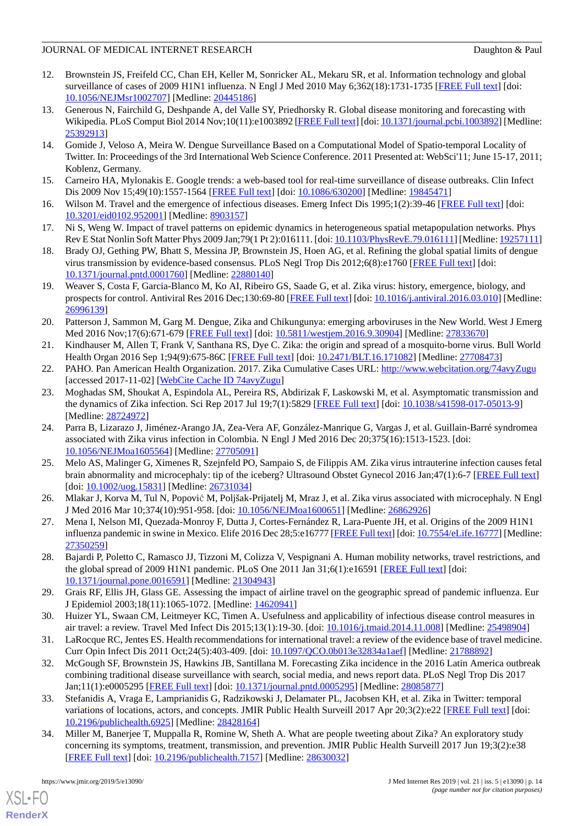- <span id="page-13-0"></span>12. Brownstein JS, Freifeld CC, Chan EH, Keller M, Sonricker AL, Mekaru SR, et al. Information technology and global surveillance of cases of 2009 H1N1 influenza. N Engl J Med 2010 May 6;362(18):1731-1735 [\[FREE Full text\]](http://europepmc.org/abstract/MED/20445186) [doi: [10.1056/NEJMsr1002707](http://dx.doi.org/10.1056/NEJMsr1002707)] [Medline: [20445186\]](http://www.ncbi.nlm.nih.gov/entrez/query.fcgi?cmd=Retrieve&db=PubMed&list_uids=20445186&dopt=Abstract)
- <span id="page-13-1"></span>13. Generous N, Fairchild G, Deshpande A, del Valle SY, Priedhorsky R. Global disease monitoring and forecasting with Wikipedia. PLoS Comput Biol 2014 Nov;10(11):e1003892 [[FREE Full text\]](http://dx.plos.org/10.1371/journal.pcbi.1003892) [doi: [10.1371/journal.pcbi.1003892](http://dx.doi.org/10.1371/journal.pcbi.1003892)] [Medline: [25392913](http://www.ncbi.nlm.nih.gov/entrez/query.fcgi?cmd=Retrieve&db=PubMed&list_uids=25392913&dopt=Abstract)]
- <span id="page-13-2"></span>14. Gomide J, Veloso A, Meira W. Dengue Surveillance Based on a Computational Model of Spatio-temporal Locality of Twitter. In: Proceedings of the 3rd International Web Science Conference. 2011 Presented at: WebSci'11; June 15-17, 2011; Koblenz, Germany.
- <span id="page-13-4"></span><span id="page-13-3"></span>15. Carneiro HA, Mylonakis E. Google trends: a web-based tool for real-time surveillance of disease outbreaks. Clin Infect Dis 2009 Nov 15;49(10):1557-1564 [\[FREE Full text\]](http://www.cid.oxfordjournals.org/cgi/pmidlookup?view=long&pmid=19845471) [doi: [10.1086/630200](http://dx.doi.org/10.1086/630200)] [Medline: [19845471](http://www.ncbi.nlm.nih.gov/entrez/query.fcgi?cmd=Retrieve&db=PubMed&list_uids=19845471&dopt=Abstract)]
- <span id="page-13-5"></span>16. Wilson M. Travel and the emergence of infectious diseases. Emerg Infect Dis 1995;1(2):39-46 [[FREE Full text](http://europepmc.org/abstract/MED/8903157)] [doi: [10.3201/eid0102.952001](http://dx.doi.org/10.3201/eid0102.952001)] [Medline: [8903157](http://www.ncbi.nlm.nih.gov/entrez/query.fcgi?cmd=Retrieve&db=PubMed&list_uids=8903157&dopt=Abstract)]
- <span id="page-13-6"></span>17. Ni S, Weng W. Impact of travel patterns on epidemic dynamics in heterogeneous spatial metapopulation networks. Phys Rev E Stat Nonlin Soft Matter Phys 2009 Jan;79(1 Pt 2):016111. [doi: [10.1103/PhysRevE.79.016111](http://dx.doi.org/10.1103/PhysRevE.79.016111)] [Medline: [19257111](http://www.ncbi.nlm.nih.gov/entrez/query.fcgi?cmd=Retrieve&db=PubMed&list_uids=19257111&dopt=Abstract)]
- <span id="page-13-7"></span>18. Brady OJ, Gething PW, Bhatt S, Messina JP, Brownstein JS, Hoen AG, et al. Refining the global spatial limits of dengue virus transmission by evidence-based consensus. PLoS Negl Trop Dis 2012;6(8):e1760 [\[FREE Full text](http://dx.plos.org/10.1371/journal.pntd.0001760)] [doi: [10.1371/journal.pntd.0001760\]](http://dx.doi.org/10.1371/journal.pntd.0001760) [Medline: [22880140\]](http://www.ncbi.nlm.nih.gov/entrez/query.fcgi?cmd=Retrieve&db=PubMed&list_uids=22880140&dopt=Abstract)
- 19. Weaver S, Costa F, Garcia-Blanco M, Ko AI, Ribeiro GS, Saade G, et al. Zika virus: history, emergence, biology, and prospects for control. Antiviral Res 2016 Dec;130:69-80 [[FREE Full text](http://europepmc.org/abstract/MED/26996139)] [doi: [10.1016/j.antiviral.2016.03.010\]](http://dx.doi.org/10.1016/j.antiviral.2016.03.010) [Medline: [26996139](http://www.ncbi.nlm.nih.gov/entrez/query.fcgi?cmd=Retrieve&db=PubMed&list_uids=26996139&dopt=Abstract)]
- <span id="page-13-9"></span><span id="page-13-8"></span>20. Patterson J, Sammon M, Garg M. Dengue, Zika and Chikungunya: emerging arboviruses in the New World. West J Emerg Med 2016 Nov;17(6):671-679 [\[FREE Full text\]](http://europepmc.org/abstract/MED/27833670) [doi: [10.5811/westjem.2016.9.30904](http://dx.doi.org/10.5811/westjem.2016.9.30904)] [Medline: [27833670\]](http://www.ncbi.nlm.nih.gov/entrez/query.fcgi?cmd=Retrieve&db=PubMed&list_uids=27833670&dopt=Abstract)
- <span id="page-13-10"></span>21. Kindhauser M, Allen T, Frank V, Santhana RS, Dye C. Zika: the origin and spread of a mosquito-borne virus. Bull World Health Organ 2016 Sep 1;94(9):675-86C [[FREE Full text](http://www.scielosp.org/scielo.php?script=sci_arttext&pid=BLT.16.171082&lng=en&nrm=iso&tlng=en)] [doi: [10.2471/BLT.16.171082](http://dx.doi.org/10.2471/BLT.16.171082)] [Medline: [27708473\]](http://www.ncbi.nlm.nih.gov/entrez/query.fcgi?cmd=Retrieve&db=PubMed&list_uids=27708473&dopt=Abstract)
- 22. PAHO. Pan American Health Organization. 2017. Zika Cumulative Cases URL: <http://www.webcitation.org/74avyZugu> [accessed 2017-11-02] [\[WebCite Cache ID 74avyZugu](http://www.webcitation.org/

                                            74avyZugu)]
- <span id="page-13-11"></span>23. Moghadas SM, Shoukat A, Espindola AL, Pereira RS, Abdirizak F, Laskowski M, et al. Asymptomatic transmission and the dynamics of Zika infection. Sci Rep 2017 Jul 19;7(1):5829 [[FREE Full text](http://dx.doi.org/10.1038/s41598-017-05013-9)] [doi: [10.1038/s41598-017-05013-9\]](http://dx.doi.org/10.1038/s41598-017-05013-9) [Medline: [28724972](http://www.ncbi.nlm.nih.gov/entrez/query.fcgi?cmd=Retrieve&db=PubMed&list_uids=28724972&dopt=Abstract)]
- <span id="page-13-12"></span>24. Parra B, Lizarazo J, Jiménez-Arango JA, Zea-Vera AF, González-Manrique G, Vargas J, et al. Guillain-Barré syndromea associated with Zika virus infection in Colombia. N Engl J Med 2016 Dec 20;375(16):1513-1523. [doi: [10.1056/NEJMoa1605564](http://dx.doi.org/10.1056/NEJMoa1605564)] [Medline: [27705091](http://www.ncbi.nlm.nih.gov/entrez/query.fcgi?cmd=Retrieve&db=PubMed&list_uids=27705091&dopt=Abstract)]
- <span id="page-13-14"></span><span id="page-13-13"></span>25. Melo AS, Malinger G, Ximenes R, Szejnfeld PO, Sampaio S, de Filippis AM. Zika virus intrauterine infection causes fetal brain abnormality and microcephaly: tip of the iceberg? Ultrasound Obstet Gynecol 2016 Jan;47(1):6-7 [[FREE Full text](https://doi.org/10.1002/uog.15831)] [doi: <u>10.1002/uog.15831</u>] [Medline: [26731034\]](http://www.ncbi.nlm.nih.gov/entrez/query.fcgi?cmd=Retrieve&db=PubMed&list_uids=26731034&dopt=Abstract)
- <span id="page-13-15"></span>26. Mlakar J, Korva M, Tul N, Popović M, Poljšak-Prijatelj M, Mraz J, et al. Zika virus associated with microcephaly. N Engl J Med 2016 Mar 10;374(10):951-958. [doi: [10.1056/NEJMoa1600651](http://dx.doi.org/10.1056/NEJMoa1600651)] [Medline: [26862926\]](http://www.ncbi.nlm.nih.gov/entrez/query.fcgi?cmd=Retrieve&db=PubMed&list_uids=26862926&dopt=Abstract)
- <span id="page-13-16"></span>27. Mena I, Nelson MI, Quezada-Monroy F, Dutta J, Cortes-Fernández R, Lara-Puente JH, et al. Origins of the 2009 H1N1 influenza pandemic in swine in Mexico. Elife 2016 Dec 28;5:e16777 [[FREE Full text](https://doi.org/10.7554/eLife.16777)] [doi: [10.7554/eLife.16777](http://dx.doi.org/10.7554/eLife.16777)] [Medline: [27350259](http://www.ncbi.nlm.nih.gov/entrez/query.fcgi?cmd=Retrieve&db=PubMed&list_uids=27350259&dopt=Abstract)]
- <span id="page-13-17"></span>28. Bajardi P, Poletto C, Ramasco JJ, Tizzoni M, Colizza V, Vespignani A. Human mobility networks, travel restrictions, and the global spread of 2009 H1N1 pandemic. PLoS One 2011 Jan 31;6(1):e16591 [\[FREE Full text\]](http://dx.plos.org/10.1371/journal.pone.0016591) [doi: [10.1371/journal.pone.0016591\]](http://dx.doi.org/10.1371/journal.pone.0016591) [Medline: [21304943](http://www.ncbi.nlm.nih.gov/entrez/query.fcgi?cmd=Retrieve&db=PubMed&list_uids=21304943&dopt=Abstract)]
- <span id="page-13-19"></span><span id="page-13-18"></span>29. Grais RF, Ellis JH, Glass GE. Assessing the impact of airline travel on the geographic spread of pandemic influenza. Eur J Epidemiol 2003;18(11):1065-1072. [Medline: [14620941\]](http://www.ncbi.nlm.nih.gov/entrez/query.fcgi?cmd=Retrieve&db=PubMed&list_uids=14620941&dopt=Abstract)
- 30. Huizer YL, Swaan CM, Leitmeyer KC, Timen A. Usefulness and applicability of infectious disease control measures in air travel: a review. Travel Med Infect Dis 2015;13(1):19-30. [doi: [10.1016/j.tmaid.2014.11.008\]](http://dx.doi.org/10.1016/j.tmaid.2014.11.008) [Medline: [25498904\]](http://www.ncbi.nlm.nih.gov/entrez/query.fcgi?cmd=Retrieve&db=PubMed&list_uids=25498904&dopt=Abstract)
- <span id="page-13-20"></span>31. LaRocque RC, Jentes ES. Health recommendations for international travel: a review of the evidence base of travel medicine. Curr Opin Infect Dis 2011 Oct;24(5):403-409. [doi: [10.1097/QCO.0b013e32834a1aef\]](http://dx.doi.org/10.1097/QCO.0b013e32834a1aef) [Medline: [21788892\]](http://www.ncbi.nlm.nih.gov/entrez/query.fcgi?cmd=Retrieve&db=PubMed&list_uids=21788892&dopt=Abstract)
- <span id="page-13-21"></span>32. McGough SF, Brownstein JS, Hawkins JB, Santillana M. Forecasting Zika incidence in the 2016 Latin America outbreak combining traditional disease surveillance with search, social media, and news report data. PLoS Negl Trop Dis 2017 Jan;11(1):e0005295 [\[FREE Full text\]](http://journals.plos.org/plosntds/article?id=10.1371/journal.pntd.0005295) [doi: [10.1371/journal.pntd.0005295](http://dx.doi.org/10.1371/journal.pntd.0005295)] [Medline: [28085877](http://www.ncbi.nlm.nih.gov/entrez/query.fcgi?cmd=Retrieve&db=PubMed&list_uids=28085877&dopt=Abstract)]
- 33. Stefanidis A, Vraga E, Lamprianidis G, Radzikowski J, Delamater PL, Jacobsen KH, et al. Zika in Twitter: temporal variations of locations, actors, and concepts. JMIR Public Health Surveill 2017 Apr 20;3(2):e22 [[FREE Full text\]](http://publichealth.jmir.org/2017/2/e22/) [doi: [10.2196/publichealth.6925\]](http://dx.doi.org/10.2196/publichealth.6925) [Medline: [28428164\]](http://www.ncbi.nlm.nih.gov/entrez/query.fcgi?cmd=Retrieve&db=PubMed&list_uids=28428164&dopt=Abstract)
- 34. Miller M, Banerjee T, Muppalla R, Romine W, Sheth A. What are people tweeting about Zika? An exploratory study concerning its symptoms, treatment, transmission, and prevention. JMIR Public Health Surveill 2017 Jun 19;3(2):e38 [[FREE Full text](http://publichealth.jmir.org/2017/2/e38/)] [doi: [10.2196/publichealth.7157\]](http://dx.doi.org/10.2196/publichealth.7157) [Medline: [28630032](http://www.ncbi.nlm.nih.gov/entrez/query.fcgi?cmd=Retrieve&db=PubMed&list_uids=28630032&dopt=Abstract)]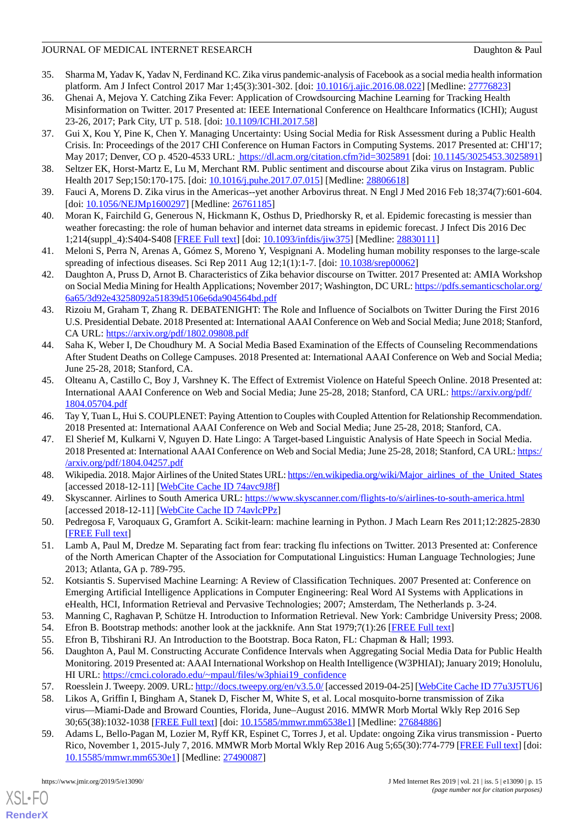- <span id="page-14-0"></span>35. Sharma M, Yadav K, Yadav N, Ferdinand KC. Zika virus pandemic-analysis of Facebook as a social media health information platform. Am J Infect Control 2017 Mar 1;45(3):301-302. [doi: [10.1016/j.ajic.2016.08.022\]](http://dx.doi.org/10.1016/j.ajic.2016.08.022) [Medline: [27776823\]](http://www.ncbi.nlm.nih.gov/entrez/query.fcgi?cmd=Retrieve&db=PubMed&list_uids=27776823&dopt=Abstract)
- <span id="page-14-1"></span>36. Ghenai A, Mejova Y. Catching Zika Fever: Application of Crowdsourcing Machine Learning for Tracking Health Misinformation on Twitter. 2017 Presented at: IEEE International Conference on Healthcare Informatics (ICHI); August 23-26, 2017; Park City, UT p. 518. [doi: **[10.1109/ICHI.2017.58](http://dx.doi.org/10.1109/ICHI.2017.58)**]
- <span id="page-14-2"></span>37. Gui X, Kou Y, Pine K, Chen Y. Managing Uncertainty: Using Social Media for Risk Assessment during a Public Health Crisis. In: Proceedings of the 2017 CHI Conference on Human Factors in Computing Systems. 2017 Presented at: CHI'17; May 2017; Denver, CO p. 4520-4533 URL:<https://dl.acm.org/citation.cfm?id=3025891> [doi: [10.1145/3025453.3025891](http://dx.doi.org/10.1145/3025453.3025891)]
- <span id="page-14-4"></span><span id="page-14-3"></span>38. Seltzer EK, Horst-Martz E, Lu M, Merchant RM. Public sentiment and discourse about Zika virus on Instagram. Public Health 2017 Sep;150:170-175. [doi: [10.1016/j.puhe.2017.07.015\]](http://dx.doi.org/10.1016/j.puhe.2017.07.015) [Medline: [28806618\]](http://www.ncbi.nlm.nih.gov/entrez/query.fcgi?cmd=Retrieve&db=PubMed&list_uids=28806618&dopt=Abstract)
- <span id="page-14-5"></span>39. Fauci A, Morens D. Zika virus in the Americas--yet another Arbovirus threat. N Engl J Med 2016 Feb 18;374(7):601-604. [doi: [10.1056/NEJMp1600297](http://dx.doi.org/10.1056/NEJMp1600297)] [Medline: [26761185](http://www.ncbi.nlm.nih.gov/entrez/query.fcgi?cmd=Retrieve&db=PubMed&list_uids=26761185&dopt=Abstract)]
- <span id="page-14-6"></span>40. Moran K, Fairchild G, Generous N, Hickmann K, Osthus D, Priedhorsky R, et al. Epidemic forecasting is messier than weather forecasting: the role of human behavior and internet data streams in epidemic forecast. J Infect Dis 2016 Dec 1;214(suppl\_4):S404-S408 [[FREE Full text](http://europepmc.org/abstract/MED/28830111)] [doi: [10.1093/infdis/jiw375\]](http://dx.doi.org/10.1093/infdis/jiw375) [Medline: [28830111\]](http://www.ncbi.nlm.nih.gov/entrez/query.fcgi?cmd=Retrieve&db=PubMed&list_uids=28830111&dopt=Abstract)
- <span id="page-14-7"></span>41. Meloni S, Perra N, Arenas A, Gómez S, Moreno Y, Vespignani A. Modeling human mobility responses to the large-scale spreading of infectious diseases. Sci Rep 2011 Aug 12;1(1):1-7. [doi: [10.1038/srep00062](http://dx.doi.org/10.1038/srep00062)]
- <span id="page-14-8"></span>42. Daughton A, Pruss D, Arnot B. Characteristics of Zika behavior discourse on Twitter. 2017 Presented at: AMIA Workshop on Social Media Mining for Health Applications; November 2017; Washington, DC URL: [https://pdfs.semanticscholar.org/](https://pdfs.semanticscholar.org/6a65/3d92e43258092a51839d5106e6da904564bd.pdf) [6a65/3d92e43258092a51839d5106e6da904564bd.pdf](https://pdfs.semanticscholar.org/6a65/3d92e43258092a51839d5106e6da904564bd.pdf)
- 43. Rizoiu M, Graham T, Zhang R. DEBATENIGHT: The Role and Influence of Socialbots on Twitter During the First 2016 U.S. Presidential Debate. 2018 Presented at: International AAAI Conference on Web and Social Media; June 2018; Stanford, CA URL:<https://arxiv.org/pdf/1802.09808.pdf>
- 44. Saha K, Weber I, De Choudhury M. A Social Media Based Examination of the Effects of Counseling Recommendations After Student Deaths on College Campuses. 2018 Presented at: International AAAI Conference on Web and Social Media; June 25-28, 2018; Stanford, CA.
- <span id="page-14-9"></span>45. Olteanu A, Castillo C, Boy J, Varshney K. The Effect of Extremist Violence on Hateful Speech Online. 2018 Presented at: International AAAI Conference on Web and Social Media; June 25-28, 2018; Stanford, CA URL: [https://arxiv.org/pdf/](https://arxiv.org/pdf/1804.05704.pdf) [1804.05704.pdf](https://arxiv.org/pdf/1804.05704.pdf)
- <span id="page-14-10"></span>46. Tay Y, Tuan L, Hui S. COUPLENET: Paying Attention to Couples with Coupled Attention for Relationship Recommendation. 2018 Presented at: International AAAI Conference on Web and Social Media; June 25-28, 2018; Stanford, CA.
- <span id="page-14-11"></span>47. El Sherief M, Kulkarni V, Nguyen D. Hate Lingo: A Target-based Linguistic Analysis of Hate Speech in Social Media. 2018 Presented at: International AAAI Conference on Web and Social Media; June 25-28, 2018; Stanford, CA URL: [https:/](https://arxiv.org/pdf/1804.04257.pdf) [/arxiv.org/pdf/1804.04257.pdf](https://arxiv.org/pdf/1804.04257.pdf)
- <span id="page-14-12"></span>48. Wikipedia. 2018. Major Airlines of the United States URL: [https://en.wikipedia.org/wiki/Major\\_airlines\\_of\\_the\\_United\\_States](https://en.wikipedia.org/wiki/Major_airlines_of_the_United_States) [accessed 2018-12-11] [\[WebCite Cache ID 74avc9J8f\]](http://www.webcitation.org/

                                            74avc9J8f)
- <span id="page-14-13"></span>49. Skyscanner. Airlines to South America URL: <https://www.skyscanner.com/flights-to/s/airlines-to-south-america.html> [accessed 2018-12-11] [\[WebCite Cache ID 74avlcPPz\]](http://www.webcitation.org/

                                            74avlcPPz)
- <span id="page-14-14"></span>50. Pedregosa F, Varoquaux G, Gramfort A. Scikit-learn: machine learning in Python. J Mach Learn Res 2011;12:2825-2830 [[FREE Full text](https://scikit-learn.org/stable/)]
- <span id="page-14-15"></span>51. Lamb A, Paul M, Dredze M. Separating fact from fear: tracking flu infections on Twitter. 2013 Presented at: Conference of the North American Chapter of the Association for Computational Linguistics: Human Language Technologies; June 2013; Atlanta, GA p. 789-795.
- <span id="page-14-18"></span><span id="page-14-17"></span><span id="page-14-16"></span>52. Kotsiantis S. Supervised Machine Learning: A Review of Classification Techniques. 2007 Presented at: Conference on Emerging Artificial Intelligence Applications in Computer Engineering: Real Word AI Systems with Applications in eHealth, HCI, Information Retrieval and Pervasive Technologies; 2007; Amsterdam, The Netherlands p. 3-24.
- <span id="page-14-19"></span>53. Manning C, Raghavan P, Schütze H. Introduction to Information Retrieval. New York: Cambridge University Press; 2008.
- <span id="page-14-20"></span>54. Efron B. Bootstrap methods: another look at the jackknife. Ann Stat 1979;7(1):26 [\[FREE Full text\]](https://projecteuclid.org/download/pdf_1/euclid.aos/1176344552)
- 55. Efron B, Tibshirani RJ. An Introduction to the Bootstrap. Boca Raton, FL: Chapman & Hall; 1993.
- <span id="page-14-21"></span>56. Daughton A, Paul M. Constructing Accurate Confidence Intervals when Aggregating Social Media Data for Public Health Monitoring. 2019 Presented at: AAAI International Workshop on Health Intelligence (W3PHIAI); January 2019; Honolulu, HI URL: [https://cmci.colorado.edu/~mpaul/files/w3phiai19\\_confidence](https://cmci.colorado.edu/~mpaul/files/w3phiai19_confidence)
- 57. Roesslein J. Tweepy. 2009. URL:<http://docs.tweepy.org/en/v3.5.0/> [accessed 2019-04-25] [[WebCite Cache ID 77u3J5TU6\]](http://www.webcitation.org/

                             77u3J5TU6)
- 58. Likos A, Griffin I, Bingham A, Stanek D, Fischer M, White S, et al. Local mosquito-borne transmission of Zika virus—Miami-Dade and Broward Counties, Florida, June–August 2016. MMWR Morb Mortal Wkly Rep 2016 Sep 30;65(38):1032-1038 [[FREE Full text](https://dx.doi.org/10.15585/mmwr.mm6538e1)] [doi: [10.15585/mmwr.mm6538e1\]](http://dx.doi.org/10.15585/mmwr.mm6538e1) [Medline: [27684886\]](http://www.ncbi.nlm.nih.gov/entrez/query.fcgi?cmd=Retrieve&db=PubMed&list_uids=27684886&dopt=Abstract)
- 59. Adams L, Bello-Pagan M, Lozier M, Ryff KR, Espinet C, Torres J, et al. Update: ongoing Zika virus transmission Puerto Rico, November 1, 2015-July 7, 2016. MMWR Morb Mortal Wkly Rep 2016 Aug 5;65(30):774-779 [[FREE Full text](https://dx.doi.org/10.15585/mmwr.mm6530e1)] [doi: [10.15585/mmwr.mm6530e1\]](http://dx.doi.org/10.15585/mmwr.mm6530e1) [Medline: [27490087\]](http://www.ncbi.nlm.nih.gov/entrez/query.fcgi?cmd=Retrieve&db=PubMed&list_uids=27490087&dopt=Abstract)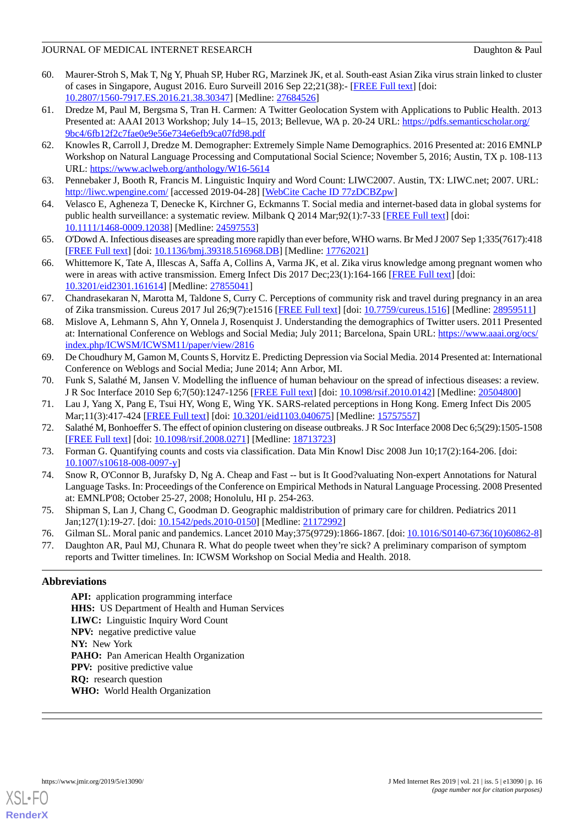- <span id="page-15-0"></span>60. Maurer-Stroh S, Mak T, Ng Y, Phuah SP, Huber RG, Marzinek JK, et al. South-east Asian Zika virus strain linked to cluster of cases in Singapore, August 2016. Euro Surveill 2016 Sep 22;21(38):- [\[FREE Full text\]](http://www.eurosurveillance.org/ViewArticle.aspx?ArticleId=22588) [doi: [10.2807/1560-7917.ES.2016.21.38.30347](http://dx.doi.org/10.2807/1560-7917.ES.2016.21.38.30347)] [Medline: [27684526](http://www.ncbi.nlm.nih.gov/entrez/query.fcgi?cmd=Retrieve&db=PubMed&list_uids=27684526&dopt=Abstract)]
- <span id="page-15-1"></span>61. Dredze M, Paul M, Bergsma S, Tran H. Carmen: A Twitter Geolocation System with Applications to Public Health. 2013 Presented at: AAAI 2013 Workshop; July 14-15, 2013; Bellevue, WA p. 20-24 URL: [https://pdfs.semanticscholar.org/](https://pdfs.semanticscholar.org/9bc4/6fb12f2c7fae0e9e56e734e6efb9ca07fd98.pdf) [9bc4/6fb12f2c7fae0e9e56e734e6efb9ca07fd98.pdf](https://pdfs.semanticscholar.org/9bc4/6fb12f2c7fae0e9e56e734e6efb9ca07fd98.pdf)
- <span id="page-15-2"></span>62. Knowles R, Carroll J, Dredze M. Demographer: Extremely Simple Name Demographics. 2016 Presented at: 2016 EMNLP Workshop on Natural Language Processing and Computational Social Science; November 5, 2016; Austin, TX p. 108-113 URL: <https://www.aclweb.org/anthology/W16-5614>
- <span id="page-15-4"></span><span id="page-15-3"></span>63. Pennebaker J, Booth R, Francis M. Linguistic Inquiry and Word Count: LIWC2007. Austin, TX: LIWC.net; 2007. URL: <http://liwc.wpengine.com/> [accessed 2019-04-28] [[WebCite Cache ID 77zDCBZpw\]](http://www.webcitation.org/

                                            77zDCBZpw)
- <span id="page-15-5"></span>64. Velasco E, Agheneza T, Denecke K, Kirchner G, Eckmanns T. Social media and internet-based data in global systems for public health surveillance: a systematic review. Milbank Q 2014 Mar;92(1):7-33 [[FREE Full text](http://europepmc.org/abstract/MED/24597553)] [doi: [10.1111/1468-0009.12038\]](http://dx.doi.org/10.1111/1468-0009.12038) [Medline: [24597553](http://www.ncbi.nlm.nih.gov/entrez/query.fcgi?cmd=Retrieve&db=PubMed&list_uids=24597553&dopt=Abstract)]
- <span id="page-15-6"></span>65. O'Dowd A. Infectious diseases are spreading more rapidly than ever before, WHO warns. Br Med J 2007 Sep 1;335(7617):418 [[FREE Full text](http://europepmc.org/abstract/MED/17762021)] [doi: [10.1136/bmj.39318.516968.DB\]](http://dx.doi.org/10.1136/bmj.39318.516968.DB) [Medline: [17762021](http://www.ncbi.nlm.nih.gov/entrez/query.fcgi?cmd=Retrieve&db=PubMed&list_uids=17762021&dopt=Abstract)]
- <span id="page-15-7"></span>66. Whittemore K, Tate A, Illescas A, Saffa A, Collins A, Varma JK, et al. Zika virus knowledge among pregnant women who were in areas with active transmission. Emerg Infect Dis 2017 Dec; 23(1):164-166 [[FREE Full text](https://dx.doi.org/10.3201/eid2301.161614)] [doi: [10.3201/eid2301.161614](http://dx.doi.org/10.3201/eid2301.161614)] [Medline: [27855041](http://www.ncbi.nlm.nih.gov/entrez/query.fcgi?cmd=Retrieve&db=PubMed&list_uids=27855041&dopt=Abstract)]
- <span id="page-15-8"></span>67. Chandrasekaran N, Marotta M, Taldone S, Curry C. Perceptions of community risk and travel during pregnancy in an area of Zika transmission. Cureus 2017 Jul 26;9(7):e1516 [[FREE Full text](http://europepmc.org/abstract/MED/28959511)] [doi: [10.7759/cureus.1516](http://dx.doi.org/10.7759/cureus.1516)] [Medline: [28959511](http://www.ncbi.nlm.nih.gov/entrez/query.fcgi?cmd=Retrieve&db=PubMed&list_uids=28959511&dopt=Abstract)]
- <span id="page-15-9"></span>68. Mislove A, Lehmann S, Ahn Y, Onnela J, Rosenquist J. Understanding the demographics of Twitter users. 2011 Presented at: International Conference on Weblogs and Social Media; July 2011; Barcelona, Spain URL: [https://www.aaai.org/ocs/](https://www.aaai.org/ocs/index.php/ICWSM/ICWSM11/paper/view/2816) [index.php/ICWSM/ICWSM11/paper/view/2816](https://www.aaai.org/ocs/index.php/ICWSM/ICWSM11/paper/view/2816)
- <span id="page-15-11"></span><span id="page-15-10"></span>69. De Choudhury M, Gamon M, Counts S, Horvitz E. Predicting Depression via Social Media. 2014 Presented at: International Conference on Weblogs and Social Media; June 2014; Ann Arbor, MI.
- <span id="page-15-12"></span>70. Funk S, Salathé M, Jansen V. Modelling the influence of human behaviour on the spread of infectious diseases: a review. J R Soc Interface 2010 Sep 6;7(50):1247-1256 [[FREE Full text](http://europepmc.org/abstract/MED/20504800)] [doi: [10.1098/rsif.2010.0142](http://dx.doi.org/10.1098/rsif.2010.0142)] [Medline: [20504800\]](http://www.ncbi.nlm.nih.gov/entrez/query.fcgi?cmd=Retrieve&db=PubMed&list_uids=20504800&dopt=Abstract)
- <span id="page-15-13"></span>71. Lau J, Yang X, Pang E, Tsui HY, Wong E, Wing YK. SARS-related perceptions in Hong Kong. Emerg Infect Dis 2005 Mar;11(3):417-424 [[FREE Full text\]](https://www.cdc.gov/ncidod/EID/vol11no03/04-0675.htm) [doi: [10.3201/eid1103.040675](http://dx.doi.org/10.3201/eid1103.040675)] [Medline: [15757557\]](http://www.ncbi.nlm.nih.gov/entrez/query.fcgi?cmd=Retrieve&db=PubMed&list_uids=15757557&dopt=Abstract)
- <span id="page-15-14"></span>72. Salathé M, Bonhoeffer S. The effect of opinion clustering on disease outbreaks. J R Soc Interface 2008 Dec 6;5(29):1505-1508 [[FREE Full text](http://europepmc.org/abstract/MED/18713723)] [doi: [10.1098/rsif.2008.0271](http://dx.doi.org/10.1098/rsif.2008.0271)] [Medline: [18713723\]](http://www.ncbi.nlm.nih.gov/entrez/query.fcgi?cmd=Retrieve&db=PubMed&list_uids=18713723&dopt=Abstract)
- <span id="page-15-16"></span>73. Forman G. Quantifying counts and costs via classification. Data Min Knowl Disc 2008 Jun 10;17(2):164-206. [doi: [10.1007/s10618-008-0097-y\]](http://dx.doi.org/10.1007/s10618-008-0097-y)
- <span id="page-15-17"></span><span id="page-15-15"></span>74. Snow R, O'Connor B, Jurafsky D, Ng A. Cheap and Fast -- but is It Good?valuating Non-expert Annotations for Natural Language Tasks. In: Proceedings of the Conference on Empirical Methods in Natural Language Processing. 2008 Presented at: EMNLP'08; October 25-27, 2008; Honolulu, HI p. 254-263.
- 75. Shipman S, Lan J, Chang C, Goodman D. Geographic maldistribution of primary care for children. Pediatrics 2011 Jan;127(1):19-27. [doi: [10.1542/peds.2010-0150](http://dx.doi.org/10.1542/peds.2010-0150)] [Medline: [21172992](http://www.ncbi.nlm.nih.gov/entrez/query.fcgi?cmd=Retrieve&db=PubMed&list_uids=21172992&dopt=Abstract)]
- 76. Gilman SL. Moral panic and pandemics. Lancet 2010 May;375(9729):1866-1867. [doi: [10.1016/S0140-6736\(10\)60862-8](http://dx.doi.org/10.1016/S0140-6736(10)60862-8)]
- 77. Daughton AR, Paul MJ, Chunara R. What do people tweet when they're sick? A preliminary comparison of symptom reports and Twitter timelines. In: ICWSM Workshop on Social Media and Health. 2018.

### **Abbreviations**

**API:** application programming interface **HHS:** US Department of Health and Human Services **LIWC:** Linguistic Inquiry Word Count **NPV:** negative predictive value **NY:** New York PAHO: Pan American Health Organization **PPV:** positive predictive value **RQ:** research question **WHO:** World Health Organization